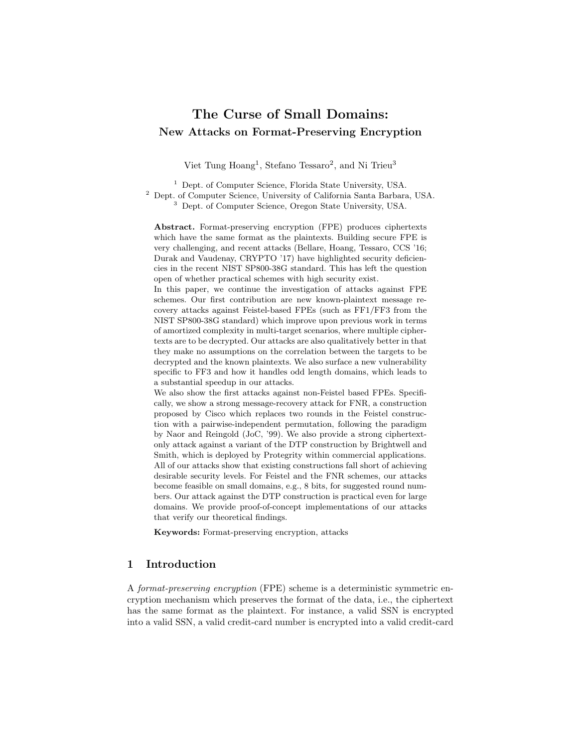# The Curse of Small Domains: New Attacks on Format-Preserving Encryption

Viet Tung Hoang<sup>1</sup>, Stefano Tessaro<sup>2</sup>, and Ni Trieu<sup>3</sup>

<sup>1</sup> Dept. of Computer Science, Florida State University, USA.

<sup>2</sup> Dept. of Computer Science, University of California Santa Barbara, USA. <sup>3</sup> Dept. of Computer Science, Oregon State University, USA.

Abstract. Format-preserving encryption (FPE) produces ciphertexts which have the same format as the plaintexts. Building secure FPE is very challenging, and recent attacks (Bellare, Hoang, Tessaro, CCS '16; Durak and Vaudenay, CRYPTO '17) have highlighted security deficiencies in the recent NIST SP800-38G standard. This has left the question open of whether practical schemes with high security exist.

In this paper, we continue the investigation of attacks against FPE schemes. Our first contribution are new known-plaintext message recovery attacks against Feistel-based FPEs (such as FF1/FF3 from the NIST SP800-38G standard) which improve upon previous work in terms of amortized complexity in multi-target scenarios, where multiple ciphertexts are to be decrypted. Our attacks are also qualitatively better in that they make no assumptions on the correlation between the targets to be decrypted and the known plaintexts. We also surface a new vulnerability specific to FF3 and how it handles odd length domains, which leads to a substantial speedup in our attacks.

We also show the first attacks against non-Feistel based FPEs. Specifically, we show a strong message-recovery attack for FNR, a construction proposed by Cisco which replaces two rounds in the Feistel construction with a pairwise-independent permutation, following the paradigm by Naor and Reingold (JoC, '99). We also provide a strong ciphertextonly attack against a variant of the DTP construction by Brightwell and Smith, which is deployed by Protegrity within commercial applications. All of our attacks show that existing constructions fall short of achieving desirable security levels. For Feistel and the FNR schemes, our attacks become feasible on small domains, e.g., 8 bits, for suggested round numbers. Our attack against the DTP construction is practical even for large domains. We provide proof-of-concept implementations of our attacks that verify our theoretical findings.

Keywords: Format-preserving encryption, attacks

# 1 Introduction

A format-preserving encryption (FPE) scheme is a deterministic symmetric encryption mechanism which preserves the format of the data, i.e., the ciphertext has the same format as the plaintext. For instance, a valid SSN is encrypted into a valid SSN, a valid credit-card number is encrypted into a valid credit-card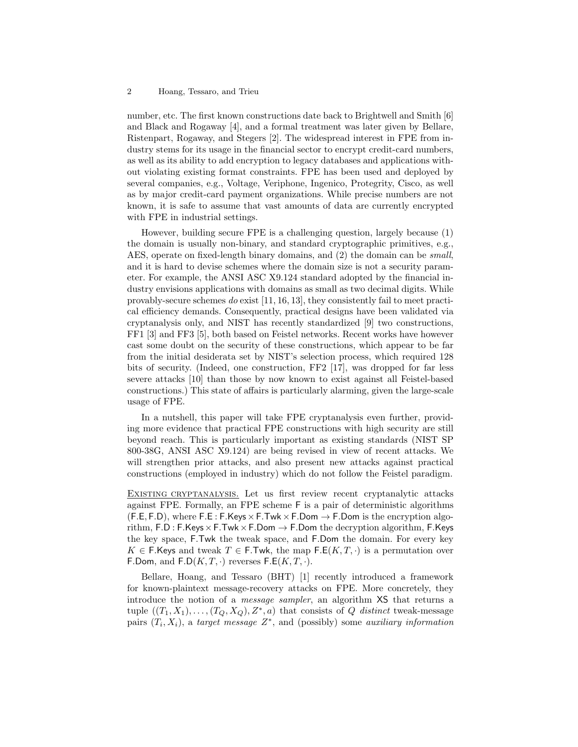number, etc. The first known constructions date back to Brightwell and Smith [6] and Black and Rogaway [4], and a formal treatment was later given by Bellare, Ristenpart, Rogaway, and Stegers [2]. The widespread interest in FPE from industry stems for its usage in the financial sector to encrypt credit-card numbers, as well as its ability to add encryption to legacy databases and applications without violating existing format constraints. FPE has been used and deployed by several companies, e.g., Voltage, Veriphone, Ingenico, Protegrity, Cisco, as well as by major credit-card payment organizations. While precise numbers are not known, it is safe to assume that vast amounts of data are currently encrypted with FPE in industrial settings.

However, building secure FPE is a challenging question, largely because (1) the domain is usually non-binary, and standard cryptographic primitives, e.g., AES, operate on fixed-length binary domains, and (2) the domain can be small, and it is hard to devise schemes where the domain size is not a security parameter. For example, the ANSI ASC X9.124 standard adopted by the financial industry envisions applications with domains as small as two decimal digits. While provably-secure schemes do exist [11, 16, 13], they consistently fail to meet practical efficiency demands. Consequently, practical designs have been validated via cryptanalysis only, and NIST has recently standardized [9] two constructions, FF1 [3] and FF3 [5], both based on Feistel networks. Recent works have however cast some doubt on the security of these constructions, which appear to be far from the initial desiderata set by NIST's selection process, which required 128 bits of security. (Indeed, one construction, FF2 [17], was dropped for far less severe attacks [10] than those by now known to exist against all Feistel-based constructions.) This state of affairs is particularly alarming, given the large-scale usage of FPE.

In a nutshell, this paper will take FPE cryptanalysis even further, providing more evidence that practical FPE constructions with high security are still beyond reach. This is particularly important as existing standards (NIST SP 800-38G, ANSI ASC X9.124) are being revised in view of recent attacks. We will strengthen prior attacks, and also present new attacks against practical constructions (employed in industry) which do not follow the Feistel paradigm.

Existing cryptanalysis. Let us first review recent cryptanalytic attacks against FPE. Formally, an FPE scheme F is a pair of deterministic algorithms  $(F.E, F.D)$ , where F.E : F.Keys  $\times$  F.Twk  $\times$  F.Dom  $\rightarrow$  F.Dom is the encryption algorithm, F.D : F.Keys  $\times$  F.Twk  $\times$  F.Dom  $\rightarrow$  F.Dom the decryption algorithm, F.Keys the key space, F.Twk the tweak space, and F.Dom the domain. For every key  $K \in \mathsf{F}.\mathsf{Keys}$  and tweak  $T \in \mathsf{F}.\mathsf{Twk}$ , the map  $\mathsf{F}.\mathsf{E}(K,T,\cdot)$  is a permutation over F.Dom, and  $F.D(K, T, \cdot)$  reverses  $F.E(K, T, \cdot)$ .

Bellare, Hoang, and Tessaro (BHT) [1] recently introduced a framework for known-plaintext message-recovery attacks on FPE. More concretely, they introduce the notion of a message sampler, an algorithm XS that returns a tuple  $((T_1, X_1), \ldots, (T_Q, X_Q), Z^*, a)$  that consists of Q distinct tweak-message pairs  $(T_i, X_i)$ , a target message  $Z^*$ , and (possibly) some auxiliary information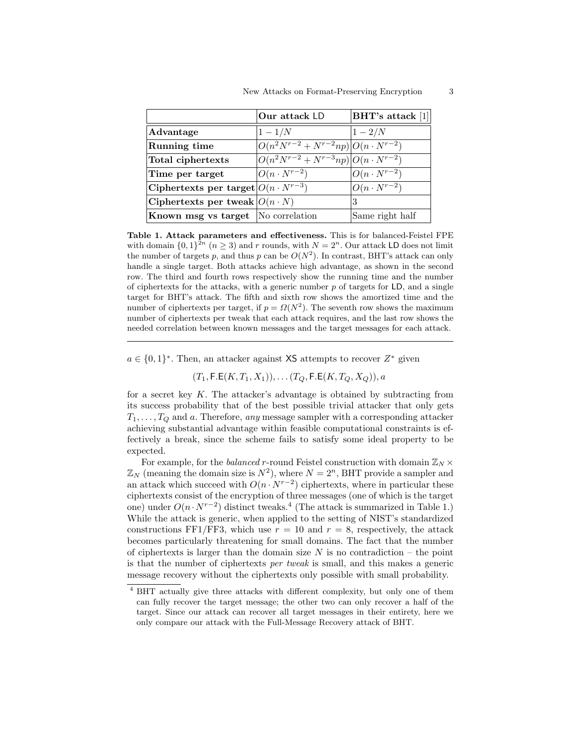|                                               | Our attack LD                                 | BHT's attack [1]       |
|-----------------------------------------------|-----------------------------------------------|------------------------|
| Advantage                                     | $1 - 1/N$                                     | $ 1-2/N $              |
| Running time                                  | $ O(n^2N^{r-2}+N^{r-2}np) O(n\cdot N^{r-2}) $ |                        |
| Total ciphertexts                             | $ O(n^2N^{r-2}+N^{r-3}np) O(n\cdot N^{r-2})$  |                        |
| Time per target                               | $O(n \cdot N^{r-2})$                          | $ O(n \cdot N^{r-2}) $ |
| Ciphertexts per target $ O(n \cdot N^{r-3}) $ |                                               | $ O(n \cdot N^{r-2}) $ |
| Ciphertexts per tweak $ O(n \cdot N) $        |                                               | 3                      |
| Known msg vs target  No correlation           |                                               | Same right half        |

Table 1. Attack parameters and effectiveness. This is for balanced-Feistel FPE with domain  $\{0,1\}^{2n}$   $(n \geq 3)$  and r rounds, with  $N = 2<sup>n</sup>$ . Our attack LD does not limit the number of targets p, and thus p can be  $O(N^2)$ . In contrast, BHT's attack can only handle a single target. Both attacks achieve high advantage, as shown in the second row. The third and fourth rows respectively show the running time and the number of ciphertexts for the attacks, with a generic number  $p$  of targets for LD, and a single target for BHT's attack. The fifth and sixth row shows the amortized time and the number of ciphertexts per target, if  $p = \Omega(N^2)$ . The seventh row shows the maximum number of ciphertexts per tweak that each attack requires, and the last row shows the needed correlation between known messages and the target messages for each attack.

 $a \in \{0,1\}^*$ . Then, an attacker against XS attempts to recover  $Z^*$  given

 $(T_1, \mathsf{F}.\mathsf{E}(K, T_1, X_1)), \ldots (T_Q, \mathsf{F}.\mathsf{E}(K, T_Q, X_Q)),$ a

for a secret key  $K$ . The attacker's advantage is obtained by subtracting from its success probability that of the best possible trivial attacker that only gets  $T_1, \ldots, T_Q$  and a. Therefore, any message sampler with a corresponding attacker achieving substantial advantage within feasible computational constraints is effectively a break, since the scheme fails to satisfy some ideal property to be expected.

For example, for the *balanced* r-round Feistel construction with domain  $\mathbb{Z}_N$   $\times$  $\mathbb{Z}_N$  (meaning the domain size is  $N^2$ ), where  $N = 2^n$ , BHT provide a sampler and an attack which succeed with  $O(n \cdot N^{r-2})$  ciphertexts, where in particular these ciphertexts consist of the encryption of three messages (one of which is the target one) under  $O(n \cdot N^{r-2})$  distinct tweaks.<sup>4</sup> (The attack is summarized in Table 1.) While the attack is generic, when applied to the setting of NIST's standardized constructions FF1/FF3, which use  $r = 10$  and  $r = 8$ , respectively, the attack becomes particularly threatening for small domains. The fact that the number of ciphertexts is larger than the domain size  $N$  is no contradiction – the point is that the number of ciphertexts per tweak is small, and this makes a generic message recovery without the ciphertexts only possible with small probability.

<sup>&</sup>lt;sup>4</sup> BHT actually give three attacks with different complexity, but only one of them can fully recover the target message; the other two can only recover a half of the target. Since our attack can recover all target messages in their entirety, here we only compare our attack with the Full-Message Recovery attack of BHT.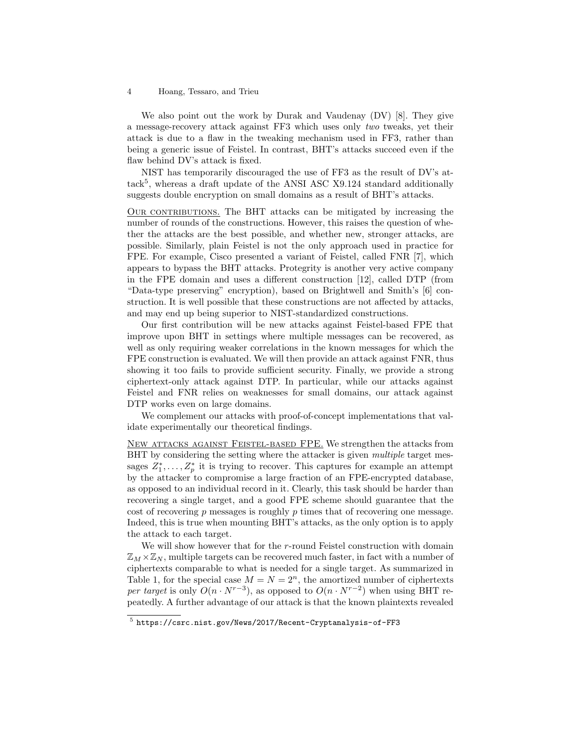We also point out the work by Durak and Vaudenay (DV) [8]. They give a message-recovery attack against FF3 which uses only two tweaks, yet their attack is due to a flaw in the tweaking mechanism used in FF3, rather than being a generic issue of Feistel. In contrast, BHT's attacks succeed even if the flaw behind DV's attack is fixed.

NIST has temporarily discouraged the use of FF3 as the result of DV's attack<sup>5</sup>, whereas a draft update of the ANSI ASC X9.124 standard additionally suggests double encryption on small domains as a result of BHT's attacks.

OUR CONTRIBUTIONS. The BHT attacks can be mitigated by increasing the number of rounds of the constructions. However, this raises the question of whether the attacks are the best possible, and whether new, stronger attacks, are possible. Similarly, plain Feistel is not the only approach used in practice for FPE. For example, Cisco presented a variant of Feistel, called FNR [7], which appears to bypass the BHT attacks. Protegrity is another very active company in the FPE domain and uses a different construction [12], called DTP (from "Data-type preserving" encryption), based on Brightwell and Smith's [6] construction. It is well possible that these constructions are not affected by attacks, and may end up being superior to NIST-standardized constructions.

Our first contribution will be new attacks against Feistel-based FPE that improve upon BHT in settings where multiple messages can be recovered, as well as only requiring weaker correlations in the known messages for which the FPE construction is evaluated. We will then provide an attack against FNR, thus showing it too fails to provide sufficient security. Finally, we provide a strong ciphertext-only attack against DTP. In particular, while our attacks against Feistel and FNR relies on weaknesses for small domains, our attack against DTP works even on large domains.

We complement our attacks with proof-of-concept implementations that validate experimentally our theoretical findings.

NEW ATTACKS AGAINST FEISTEL-BASED FPE. We strengthen the attacks from BHT by considering the setting where the attacker is given *multiple* target messages  $Z_1^*, \ldots, Z_p^*$  it is trying to recover. This captures for example an attempt by the attacker to compromise a large fraction of an FPE-encrypted database, as opposed to an individual record in it. Clearly, this task should be harder than recovering a single target, and a good FPE scheme should guarantee that the cost of recovering  $p$  messages is roughly  $p$  times that of recovering one message. Indeed, this is true when mounting BHT's attacks, as the only option is to apply the attack to each target.

We will show however that for the r-round Feistel construction with domain  $\mathbb{Z}_M\times\mathbb{Z}_N$ , multiple targets can be recovered much faster, in fact with a number of ciphertexts comparable to what is needed for a single target. As summarized in Table 1, for the special case  $M = N = 2<sup>n</sup>$ , the amortized number of ciphertexts per target is only  $O(n \cdot N^{r-3})$ , as opposed to  $O(n \cdot N^{r-2})$  when using BHT repeatedly. A further advantage of our attack is that the known plaintexts revealed

<sup>5</sup> https://csrc.nist.gov/News/2017/Recent-Cryptanalysis-of-FF3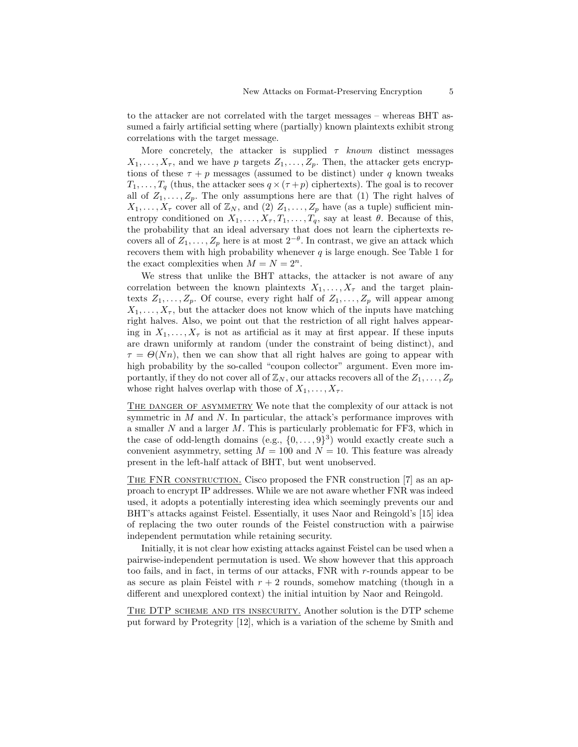to the attacker are not correlated with the target messages – whereas BHT assumed a fairly artificial setting where (partially) known plaintexts exhibit strong correlations with the target message.

More concretely, the attacker is supplied  $\tau$  known distinct messages  $X_1, \ldots, X_{\tau}$ , and we have p targets  $Z_1, \ldots, Z_p$ . Then, the attacker gets encryptions of these  $\tau + p$  messages (assumed to be distinct) under q known tweaks  $T_1, \ldots, T_q$  (thus, the attacker sees  $q \times (\tau + p)$  ciphertexts). The goal is to recover all of  $Z_1, \ldots, Z_p$ . The only assumptions here are that (1) The right halves of  $X_1, \ldots, X_\tau$  cover all of  $\mathbb{Z}_N$ , and (2)  $Z_1, \ldots, Z_p$  have (as a tuple) sufficient minentropy conditioned on  $X_1, \ldots, X_{\tau}, T_1, \ldots, T_q$ , say at least  $\theta$ . Because of this, the probability that an ideal adversary that does not learn the ciphertexts recovers all of  $Z_1, \ldots, Z_p$  here is at most  $2^{-\theta}$ . In contrast, we give an attack which recovers them with high probability whenever  $q$  is large enough. See Table 1 for the exact complexities when  $M = N = 2^n$ .

We stress that unlike the BHT attacks, the attacker is not aware of any correlation between the known plaintexts  $X_1, \ldots, X_{\tau}$  and the target plaintexts  $Z_1, \ldots, Z_p$ . Of course, every right half of  $Z_1, \ldots, Z_p$  will appear among  $X_1, \ldots, X_{\tau}$ , but the attacker does not know which of the inputs have matching right halves. Also, we point out that the restriction of all right halves appearing in  $X_1, \ldots, X_\tau$  is not as artificial as it may at first appear. If these inputs are drawn uniformly at random (under the constraint of being distinct), and  $\tau = \Theta(Nn)$ , then we can show that all right halves are going to appear with high probability by the so-called "coupon collector" argument. Even more importantly, if they do not cover all of  $\mathbb{Z}_N$ , our attacks recovers all of the  $Z_1, \ldots, Z_p$ whose right halves overlap with those of  $X_1, \ldots, X_{\tau}$ .

THE DANGER OF ASYMMETRY We note that the complexity of our attack is not symmetric in  $M$  and  $N$ . In particular, the attack's performance improves with a smaller  $N$  and a larger  $M$ . This is particularly problematic for FF3, which in the case of odd-length domains (e.g.,  $\{0, \ldots, 9\}^3$ ) would exactly create such a convenient asymmetry, setting  $M = 100$  and  $N = 10$ . This feature was already present in the left-half attack of BHT, but went unobserved.

The FNR construction. Cisco proposed the FNR construction [7] as an approach to encrypt IP addresses. While we are not aware whether FNR was indeed used, it adopts a potentially interesting idea which seemingly prevents our and BHT's attacks against Feistel. Essentially, it uses Naor and Reingold's [15] idea of replacing the two outer rounds of the Feistel construction with a pairwise independent permutation while retaining security.

Initially, it is not clear how existing attacks against Feistel can be used when a pairwise-independent permutation is used. We show however that this approach too fails, and in fact, in terms of our attacks, FNR with r-rounds appear to be as secure as plain Feistel with  $r + 2$  rounds, somehow matching (though in a different and unexplored context) the initial intuition by Naor and Reingold.

THE DTP SCHEME AND ITS INSECURITY. Another solution is the DTP scheme put forward by Protegrity [12], which is a variation of the scheme by Smith and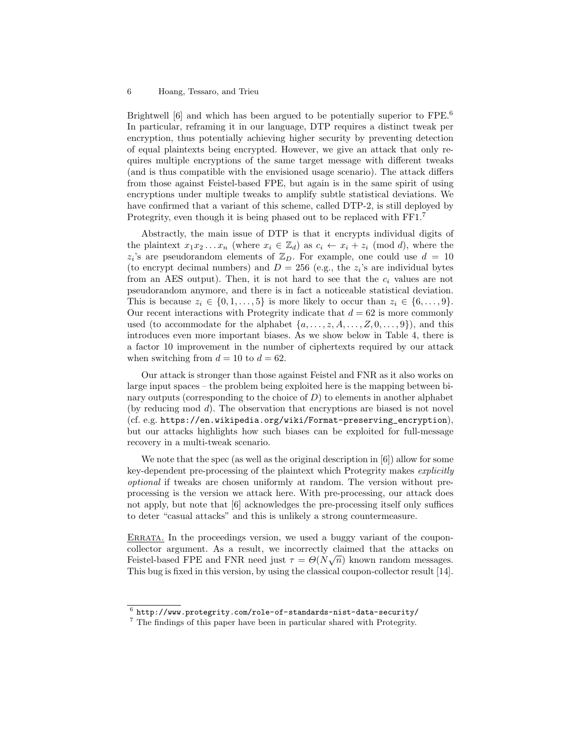Brightwell [6] and which has been argued to be potentially superior to FPE.<sup>6</sup> In particular, reframing it in our language, DTP requires a distinct tweak per encryption, thus potentially achieving higher security by preventing detection of equal plaintexts being encrypted. However, we give an attack that only requires multiple encryptions of the same target message with different tweaks (and is thus compatible with the envisioned usage scenario). The attack differs from those against Feistel-based FPE, but again is in the same spirit of using encryptions under multiple tweaks to amplify subtle statistical deviations. We have confirmed that a variant of this scheme, called DTP-2, is still deployed by Protegrity, even though it is being phased out to be replaced with  $FF1<sup>7</sup>$ 

Abstractly, the main issue of DTP is that it encrypts individual digits of the plaintext  $x_1x_2...x_n$  (where  $x_i \in \mathbb{Z}_d$ ) as  $c_i \leftarrow x_i + z_i \pmod{d}$ , where the  $z_i$ 's are pseudorandom elements of  $\mathbb{Z}_D$ . For example, one could use  $d = 10$ (to encrypt decimal numbers) and  $D = 256$  (e.g., the  $z_i$ 's are individual bytes from an AES output). Then, it is not hard to see that the  $c_i$  values are not pseudorandom anymore, and there is in fact a noticeable statistical deviation. This is because  $z_i \in \{0, 1, \ldots, 5\}$  is more likely to occur than  $z_i \in \{6, \ldots, 9\}$ . Our recent interactions with Protegrity indicate that  $d = 62$  is more commonly used (to accommodate for the alphabet  $\{a, \ldots, z, A, \ldots, Z, 0, \ldots, 9\}$ ), and this introduces even more important biases. As we show below in Table 4, there is a factor 10 improvement in the number of ciphertexts required by our attack when switching from  $d = 10$  to  $d = 62$ .

Our attack is stronger than those against Feistel and FNR as it also works on large input spaces – the problem being exploited here is the mapping between binary outputs (corresponding to the choice of  $D$ ) to elements in another alphabet (by reducing mod d). The observation that encryptions are biased is not novel (cf. e.g. https://en.wikipedia.org/wiki/Format-preserving\_encryption), but our attacks highlights how such biases can be exploited for full-message recovery in a multi-tweak scenario.

We note that the spec (as well as the original description in  $[6]$ ) allow for some key-dependent pre-processing of the plaintext which Protegrity makes explicitly optional if tweaks are chosen uniformly at random. The version without preprocessing is the version we attack here. With pre-processing, our attack does not apply, but note that [6] acknowledges the pre-processing itself only suffices to deter "casual attacks" and this is unlikely a strong countermeasure.

ERRATA. In the proceedings version, we used a buggy variant of the couponcollector argument. As a result, we incorrectly claimed that the attacks on Feistel-based FPE and FNR need just  $\tau = \Theta(N\sqrt{n})$  known random messages. This bug is fixed in this version, by using the classical coupon-collector result [14].

 $^6$  http://www.protegrity.com/role-of-standards-nist-data-security/

<sup>7</sup> The findings of this paper have been in particular shared with Protegrity.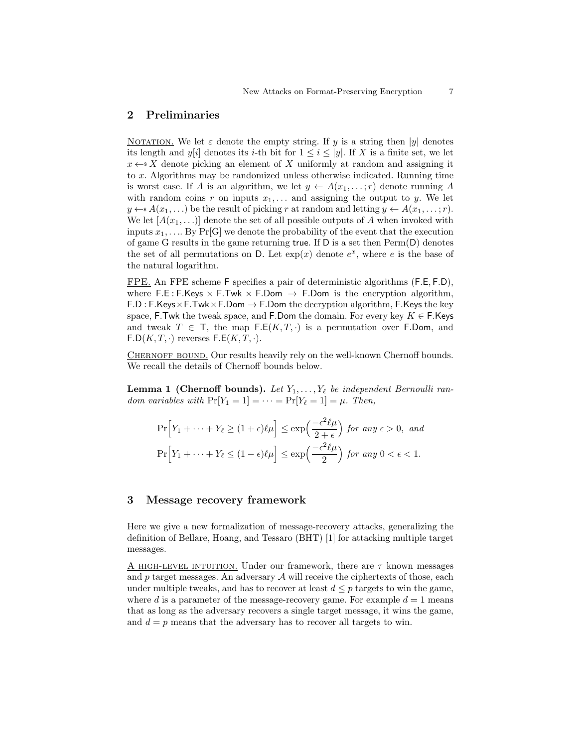# 2 Preliminaries

NOTATION. We let  $\varepsilon$  denote the empty string. If y is a string then |y| denotes its length and y[i] denotes its i-th bit for  $1 \le i \le |y|$ . If X is a finite set, we let  $x \leftarrow^* X$  denote picking an element of X uniformly at random and assigning it to x. Algorithms may be randomized unless otherwise indicated. Running time is worst case. If A is an algorithm, we let  $y \leftarrow A(x_1, \ldots; r)$  denote running A with random coins r on inputs  $x_1, \ldots$  and assigning the output to y. We let  $y \leftarrow A(x_1, \ldots)$  be the result of picking r at random and letting  $y \leftarrow A(x_1, \ldots; r)$ . We let  $[A(x_1, \ldots)]$  denote the set of all possible outputs of A when invoked with inputs  $x_1, \ldots$  By Pr[G] we denote the probability of the event that the execution of game G results in the game returning true. If D is a set then Perm(D) denotes the set of all permutations on D. Let  $exp(x)$  denote  $e^x$ , where e is the base of the natural logarithm.

FPE. An FPE scheme F specifies a pair of deterministic algorithms (F.E, F.D), where F.E: F.Keys  $\times$  F.Twk  $\times$  F.Dom  $\rightarrow$  F.Dom is the encryption algorithm,  $F.D : F.Keys \times F.Twk \times F.Dom \rightarrow F.Dom$  the decryption algorithm, F.Keys the key space, F.Twk the tweak space, and F.Dom the domain. For every key  $K \in \mathsf{F}$ .Keys and tweak  $T \in \mathsf{T}$ , the map  $\mathsf{F.E}(K,T,\cdot)$  is a permutation over  $\mathsf{F.Dom}$ , and  $F.D(K, T, \cdot)$  reverses  $F.E(K, T, \cdot).$ 

Chernoff bound. Our results heavily rely on the well-known Chernoff bounds. We recall the details of Chernoff bounds below.

**Lemma 1 (Chernoff bounds).** Let  $Y_1, \ldots, Y_\ell$  be independent Bernoulli random variables with  $Pr[Y_1 = 1] = \cdots = Pr[Y_\ell = 1] = \mu$ . Then,

$$
\Pr\Big[Y_1 + \dots + Y_\ell \ge (1 + \epsilon)\ell\mu\Big] \le \exp\Big(\frac{-\epsilon^2 \ell\mu}{2 + \epsilon}\Big) \text{ for any } \epsilon > 0, \text{ and}
$$

$$
\Pr\Big[Y_1 + \dots + Y_\ell \le (1 - \epsilon)\ell\mu\Big] \le \exp\Big(\frac{-\epsilon^2 \ell\mu}{2}\Big) \text{ for any } 0 < \epsilon < 1.
$$

### 3 Message recovery framework

Here we give a new formalization of message-recovery attacks, generalizing the definition of Bellare, Hoang, and Tessaro (BHT) [1] for attacking multiple target messages.

A HIGH-LEVEL INTUITION. Under our framework, there are  $\tau$  known messages and  $p$  target messages. An adversary  $\mathcal A$  will receive the ciphertexts of those, each under multiple tweaks, and has to recover at least  $d \leq p$  targets to win the game, where d is a parameter of the message-recovery game. For example  $d = 1$  means that as long as the adversary recovers a single target message, it wins the game, and  $d = p$  means that the adversary has to recover all targets to win.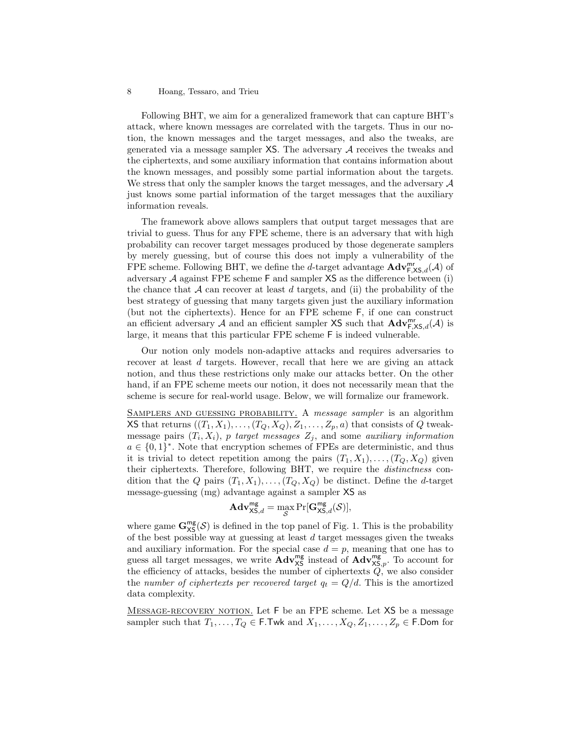Following BHT, we aim for a generalized framework that can capture BHT's attack, where known messages are correlated with the targets. Thus in our notion, the known messages and the target messages, and also the tweaks, are generated via a message sampler  $\mathsf{XS}\text{.}$  The adversary  $\mathcal A$  receives the tweaks and the ciphertexts, and some auxiliary information that contains information about the known messages, and possibly some partial information about the targets. We stress that only the sampler knows the target messages, and the adversary  $\mathcal A$ just knows some partial information of the target messages that the auxiliary information reveals.

The framework above allows samplers that output target messages that are trivial to guess. Thus for any FPE scheme, there is an adversary that with high probability can recover target messages produced by those degenerate samplers by merely guessing, but of course this does not imply a vulnerability of the FPE scheme. Following BHT, we define the d-target advantage  $\mathbf{Adv}_{\mathsf{F},\mathsf{XS},d}^{\mathsf{mr}}(\mathcal{A})$  of adversary  $A$  against FPE scheme  $F$  and sampler  $XS$  as the difference between (i) the chance that  $A$  can recover at least  $d$  targets, and (ii) the probability of the best strategy of guessing that many targets given just the auxiliary information (but not the ciphertexts). Hence for an FPE scheme F, if one can construct an efficient adversary A and an efficient sampler XS such that  $\mathbf{Adv}_{\mathsf{F},\mathsf{XS},d}^{\mathsf{mr}}(\mathcal{A})$  is large, it means that this particular FPE scheme F is indeed vulnerable.

Our notion only models non-adaptive attacks and requires adversaries to recover at least d targets. However, recall that here we are giving an attack notion, and thus these restrictions only make our attacks better. On the other hand, if an FPE scheme meets our notion, it does not necessarily mean that the scheme is secure for real-world usage. Below, we will formalize our framework.

SAMPLERS AND GUESSING PROBABILITY. A *message sampler* is an algorithm XS that returns  $((T_1, X_1), \ldots, (T_Q, X_Q), Z_1, \ldots, Z_p, a)$  that consists of Q tweakmessage pairs  $(T_i, X_i)$ , p target messages  $Z_j$ , and some auxiliary information  $a \in \{0,1\}^*$ . Note that encryption schemes of FPEs are deterministic, and thus it is trivial to detect repetition among the pairs  $(T_1, X_1), \ldots, (T_Q, X_Q)$  given their ciphertexts. Therefore, following BHT, we require the distinctness condition that the Q pairs  $(T_1, X_1), \ldots, (T_Q, X_Q)$  be distinct. Define the d-target message-guessing (mg) advantage against a sampler XS as

$$
\mathbf{Adv}_{\mathsf{XS},d}^{\mathsf{mg}} = \max_{\mathcal{S}} \Pr[\mathbf{G}_{\mathsf{XS},d}^{\mathsf{mg}}(\mathcal{S})],
$$

where game  $\mathbf{G}^{\text{mg}}_{\text{XS}}(\mathcal{S})$  is defined in the top panel of Fig. 1. This is the probability of the best possible way at guessing at least  $d$  target messages given the tweaks and auxiliary information. For the special case  $d = p$ , meaning that one has to guess all target messages, we write  $\mathbf{Adv}_{\mathsf{XS}}^{\mathsf{mg}}$  instead of  $\mathbf{Adv}_{\mathsf{XS},p}^{\mathsf{mg}}$ . To account for the efficiency of attacks, besides the number of ciphertexts  $Q$ , we also consider the number of ciphertexts per recovered target  $q_t = Q/d$ . This is the amortized data complexity.

MESSAGE-RECOVERY NOTION. Let F be an FPE scheme. Let XS be a message sampler such that  $T_1, \ldots, T_Q \in \mathsf{F}.\mathsf{Twk}$  and  $X_1, \ldots, X_Q, Z_1, \ldots, Z_p \in \mathsf{F}.\mathsf{Dom}$  for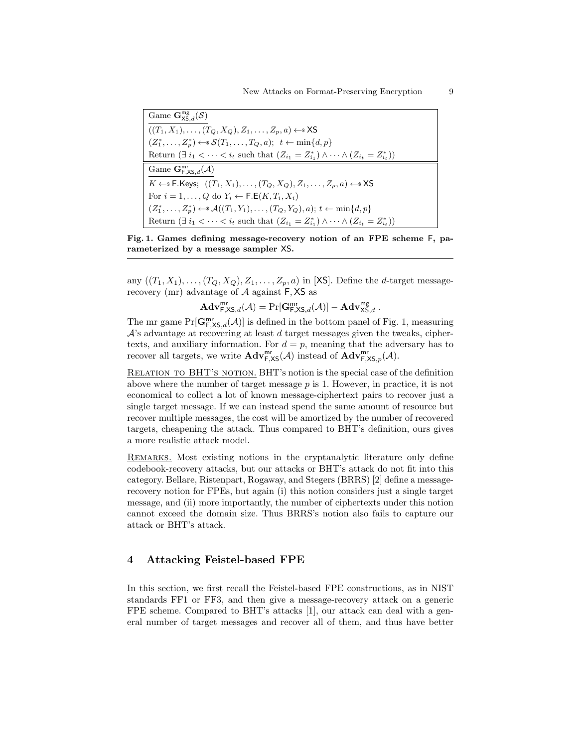Game  $\mathbf{G}^{\text{mg}}_{\mathsf{XS},d}(\mathcal{S})$  $((T_1, X_1), \ldots, (T_Q, X_Q), Z_1, \ldots, Z_p, a) \leftarrow \mathbf{S}$  $(Z_1^*,\ldots,Z_p^*) \leftarrow \mathcal{S}(T_1,\ldots,T_Q,a); \ \ t \leftarrow \min\{d,p\}$ Return  $(\exists i_1 < \cdots < i_t \text{ such that } (Z_{i_1} = Z_{i_1}^*) \wedge \cdots \wedge (Z_{i_t} = Z_{i_t}^*))$ Game  $\mathbf{G}_{\mathsf{F},\mathsf{XS},d}^{\mathsf{mr}}(\mathcal{A})$  $K \leftarrow$  F.Keys;  $((T_1, X_1), \ldots, (T_Q, X_Q), Z_1, \ldots, Z_p, a) \leftarrow$  XS For  $i = 1, \ldots, Q$  do  $Y_i \leftarrow \mathsf{F.E}(K, T_i, X_i)$  $(Z_1^*, \ldots, Z_p^*) \leftarrow \mathcal{A}((T_1, Y_1), \ldots, (T_Q, Y_Q), a); t \leftarrow \min\{d, p\}$ Return  $(\exists i_1 < \cdots < i_t \text{ such that } (Z_{i_1} = Z_{i_1}^*) \wedge \cdots \wedge (Z_{i_t} = Z_{i_t}^*))$ 

Fig. 1. Games defining message-recovery notion of an FPE scheme F, parameterized by a message sampler XS.

any  $((T_1, X_1), \ldots, (T_Q, X_Q), Z_1, \ldots, Z_p, a)$  in [XS]. Define the *d*-target messagerecovery (mr) advantage of  $A$  against  $F, XS$  as

 $\mathbf{Adv}_{\mathsf{F},\mathsf{XS},d}^{\mathsf{mr}}(\mathcal{A}) = \Pr[\mathbf{G}_{\mathsf{F},\mathsf{XS},d}^{\mathsf{mr}}(\mathcal{A})] - \mathbf{Adv}_{\mathsf{XS},d}^{\mathsf{mg}}$  .

The mr game  $Pr[\mathbf{G}^{\text{mr}}_{\mathsf{F},\mathsf{XS},d}(\mathcal{A})]$  is defined in the bottom panel of Fig. 1, measuring  $\mathcal{A}$ 's advantage at recovering at least d target messages given the tweaks, ciphertexts, and auxiliary information. For  $d = p$ , meaning that the adversary has to recover all targets, we write  $\mathbf{Adv}_{\mathsf{F},\mathsf{XS}}^{\mathsf{mr}}(\mathcal{A})$  instead of  $\mathbf{Adv}_{\mathsf{F},\mathsf{XS},p}^{\mathsf{mr}}(\mathcal{A})$ .

Relation to BHT's notion. BHT's notion is the special case of the definition above where the number of target message  $p$  is 1. However, in practice, it is not economical to collect a lot of known message-ciphertext pairs to recover just a single target message. If we can instead spend the same amount of resource but recover multiple messages, the cost will be amortized by the number of recovered targets, cheapening the attack. Thus compared to BHT's definition, ours gives a more realistic attack model.

REMARKS. Most existing notions in the cryptanalytic literature only define codebook-recovery attacks, but our attacks or BHT's attack do not fit into this category. Bellare, Ristenpart, Rogaway, and Stegers (BRRS) [2] define a messagerecovery notion for FPEs, but again (i) this notion considers just a single target message, and (ii) more importantly, the number of ciphertexts under this notion cannot exceed the domain size. Thus BRRS's notion also fails to capture our attack or BHT's attack.

# 4 Attacking Feistel-based FPE

In this section, we first recall the Feistel-based FPE constructions, as in NIST standards FF1 or FF3, and then give a message-recovery attack on a generic FPE scheme. Compared to BHT's attacks [1], our attack can deal with a general number of target messages and recover all of them, and thus have better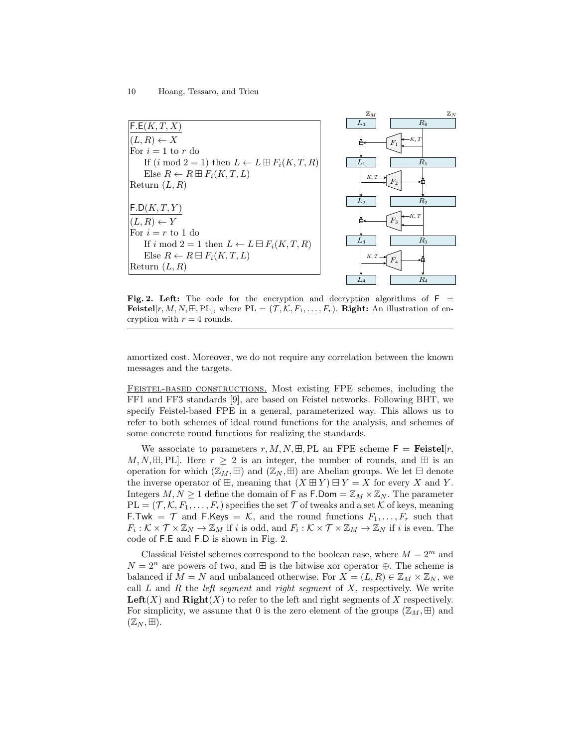

Fig. 2. Left: The code for the encryption and decryption algorithms of  $F =$ **Feistel**[r, M, N, H, PL], where PL =  $(\mathcal{T}, \mathcal{K}, F_1, \ldots, F_r)$ . **Right:** An illustration of encryption with  $r = 4$  rounds.

amortized cost. Moreover, we do not require any correlation between the known messages and the targets.

Feistel-based constructions. Most existing FPE schemes, including the FF1 and FF3 standards [9], are based on Feistel networks. Following BHT, we specify Feistel-based FPE in a general, parameterized way. This allows us to refer to both schemes of ideal round functions for the analysis, and schemes of some concrete round functions for realizing the standards.

We associate to parameters  $r, M, N, \boxplus, PL$  an FPE scheme  $\mathsf{F} = \mathbf{Feistel}[r]$ ,  $M, N, \boxplus, PL$ . Here  $r \geq 2$  is an integer, the number of rounds, and  $\boxplus$  is an operation for which  $(\mathbb{Z}_M, \boxplus)$  and  $(\mathbb{Z}_N, \boxplus)$  are Abelian groups. We let  $\boxminus$  denote the inverse operator of  $\mathbb{H}$ , meaning that  $(X \oplus Y) \oplus Y = X$  for every X and Y. Integers  $M, N \geq 1$  define the domain of F as F.Dom =  $\mathbb{Z}_M \times \mathbb{Z}_N$ . The parameter  $PL = (\mathcal{T}, \mathcal{K}, F_1, \ldots, F_r)$  specifies the set  $\mathcal T$  of tweaks and a set  $\mathcal K$  of keys, meaning F.Twk =  $\mathcal{T}$  and F.Keys =  $\mathcal{K}$ , and the round functions  $F_1, \ldots, F_r$  such that  $F_i: \mathcal{K} \times \mathcal{T} \times \mathbb{Z}_N \to \mathbb{Z}_M$  if i is odd, and  $F_i: \mathcal{K} \times \mathcal{T} \times \mathbb{Z}_M \to \mathbb{Z}_N$  if i is even. The code of F.E and F.D is shown in Fig. 2.

Classical Feistel schemes correspond to the boolean case, where  $M = 2^m$  and  $N = 2^n$  are powers of two, and  $\boxplus$  is the bitwise xor operator  $\oplus$ . The scheme is balanced if  $M = N$  and unbalanced otherwise. For  $X = (L, R) \in \mathbb{Z}_M \times \mathbb{Z}_N$ , we call  $L$  and  $R$  the *left segment* and *right segment* of  $X$ , respectively. We write Left(X) and  $\mathbf{Right}(X)$  to refer to the left and right segments of X respectively. For simplicity, we assume that 0 is the zero element of the groups  $(\mathbb{Z}_M, \boxplus)$  and  $(\mathbb{Z}_N, \boxplus).$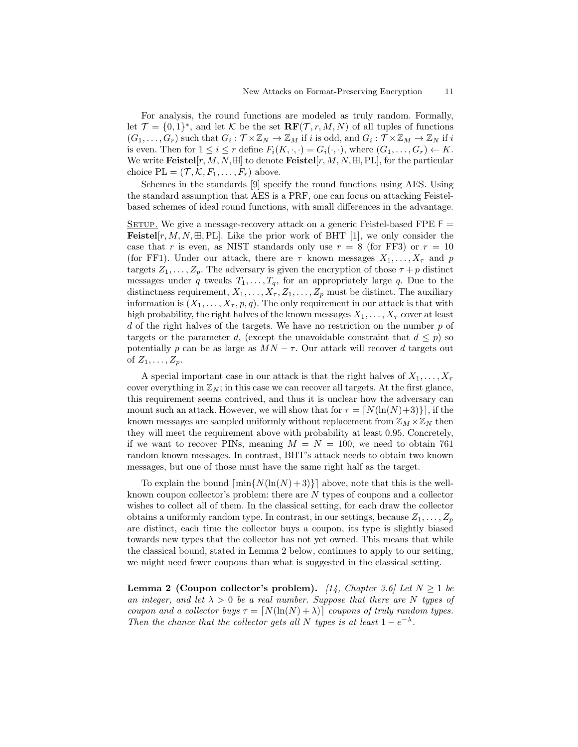For analysis, the round functions are modeled as truly random. Formally, let  $\mathcal{T} = \{0,1\}^*$ , and let K be the set  $\mathbf{RF}(\mathcal{T}, r, M, N)$  of all tuples of functions  $(G_1, \ldots, G_r)$  such that  $G_i: \mathcal{T} \times \mathbb{Z}_N \to \mathbb{Z}_M$  if i is odd, and  $G_i: \mathcal{T} \times \mathbb{Z}_M \to \mathbb{Z}_N$  if i is even. Then for  $1 \leq i \leq r$  define  $F_i(K, \cdot, \cdot) = G_i(\cdot, \cdot)$ , where  $(G_1, \ldots, G_r) \leftarrow K$ . We write  $\textbf{Feistel}[r, M, N, \boxplus]$  to denote  $\textbf{Feistel}[r, M, N, \boxplus, PL]$ , for the particular choice  $PL = (\mathcal{T}, \mathcal{K}, F_1, \ldots, F_r)$  above.

Schemes in the standards [9] specify the round functions using AES. Using the standard assumption that AES is a PRF, one can focus on attacking Feistelbased schemes of ideal round functions, with small differences in the advantage.

SETUP. We give a message-recovery attack on a generic Feistel-based FPE  $F =$ Feistel $[r, M, N, \boxplus, PL]$ . Like the prior work of BHT [1], we only consider the case that r is even, as NIST standards only use  $r = 8$  (for FF3) or  $r = 10$ (for FF1). Under our attack, there are  $\tau$  known messages  $X_1, \ldots, X_{\tau}$  and p targets  $Z_1, \ldots, Z_p$ . The adversary is given the encryption of those  $\tau + p$  distinct messages under q tweaks  $T_1, \ldots, T_q$ , for an appropriately large q. Due to the distinctness requirement,  $X_1, \ldots, X_{\tau}, Z_1, \ldots, Z_p$  must be distinct. The auxiliary information is  $(X_1, \ldots, X_{\tau}, p, q)$ . The only requirement in our attack is that with high probability, the right halves of the known messages  $X_1, \ldots, X_\tau$  cover at least  $d$  of the right halves of the targets. We have no restriction on the number  $p$  of targets or the parameter d, (except the unavoidable constraint that  $d \leq p$ ) so potentially p can be as large as  $MN - \tau$ . Our attack will recover d targets out of  $Z_1, \ldots, Z_p$ .

A special important case in our attack is that the right halves of  $X_1, \ldots, X_\tau$ cover everything in  $\mathbb{Z}_N$ ; in this case we can recover all targets. At the first glance, this requirement seems contrived, and thus it is unclear how the adversary can mount such an attack. However, we will show that for  $\tau = [N(\ln(N)+3)]$ , if the known messages are sampled uniformly without replacement from  $\mathbb{Z}_M\times\mathbb{Z}_N$  then they will meet the requirement above with probability at least 0.95. Concretely, if we want to recover PINs, meaning  $M = N = 100$ , we need to obtain 761 random known messages. In contrast, BHT's attack needs to obtain two known messages, but one of those must have the same right half as the target.

To explain the bound  $\lceil \min\{N(\ln(N) + 3)\}\rceil$  above, note that this is the wellknown coupon collector's problem: there are N types of coupons and a collector wishes to collect all of them. In the classical setting, for each draw the collector obtains a uniformly random type. In contrast, in our settings, because  $Z_1, \ldots, Z_p$ are distinct, each time the collector buys a coupon, its type is slightly biased towards new types that the collector has not yet owned. This means that while the classical bound, stated in Lemma 2 below, continues to apply to our setting, we might need fewer coupons than what is suggested in the classical setting.

**Lemma 2 (Coupon collector's problem).** [14, Chapter 3.6] Let  $N \geq 1$  be an integer, and let  $\lambda > 0$  be a real number. Suppose that there are N types of coupon and a collector buys  $\tau = [N(\ln(N) + \lambda)]$  coupons of truly random types. Then the chance that the collector gets all N types is at least  $1-e^{-\lambda}$ .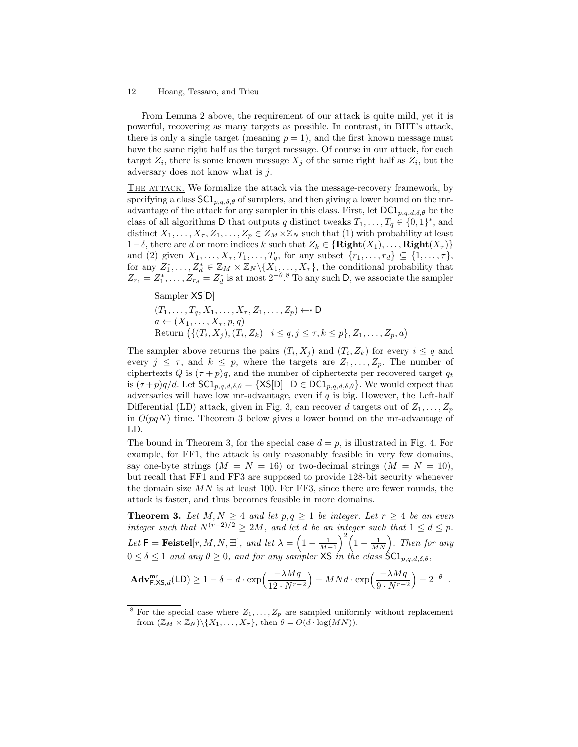From Lemma 2 above, the requirement of our attack is quite mild, yet it is powerful, recovering as many targets as possible. In contrast, in BHT's attack, there is only a single target (meaning  $p = 1$ ), and the first known message must have the same right half as the target message. Of course in our attack, for each target  $Z_i$ , there is some known message  $X_j$  of the same right half as  $Z_i$ , but the adversary does not know what is j.

THE ATTACK. We formalize the attack via the message-recovery framework, by specifying a class  $\mathsf{SC1}_{p,q,\delta,\theta}$  of samplers, and then giving a lower bound on the mradvantage of the attack for any sampler in this class. First, let  $\text{DCI}_{p,q,d,\delta,\theta}$  be the class of all algorithms D that outputs q distinct tweaks  $T_1, \ldots, T_q \in \{0,1\}^*$ , and distinct  $X_1, \ldots, X_{\tau}, Z_1, \ldots, Z_p \in Z_M \times \mathbb{Z}_N$  such that (1) with probability at least 1−δ, there are d or more indices k such that  $Z_k \in \{Right(X_1), \ldots, Right(X_\tau)\}\$ and (2) given  $X_1, ..., X_{\tau}, T_1, ..., T_q$ , for any subset  $\{r_1, ..., r_d\} \subseteq \{1, ..., \tau\}$ , for any  $Z_1^*,\ldots,Z_d^* \in \mathbb{Z}_M \times \mathbb{Z}_N \backslash \{X_1,\ldots,X_\tau\}$ , the conditional probability that  $Z_{r_1} = Z_1^*, \ldots, Z_{r_d} = Z_d^*$  is at most  $2^{-\theta}.$ <sup>8</sup> To any such D, we associate the sampler

Sampler XS[D]  $(T_1, \ldots, T_q, X_1, \ldots, X_\tau, Z_1, \ldots, Z_p) \leftarrow \mathbf{s} \mathsf{D}$  $a \leftarrow (X_1, \ldots, X_{\tau}, p, q)$ Return  $(\{(T_i, X_j), (T_i, Z_k) \mid i \leq q, j \leq \tau, k \leq p\}, Z_1, \ldots, Z_p, a)$ 

The sampler above returns the pairs  $(T_i, X_j)$  and  $(T_i, Z_k)$  for every  $i \leq q$  and every  $j \leq \tau$ , and  $k \leq p$ , where the targets are  $Z_1, \ldots, Z_p$ . The number of ciphertexts Q is  $(\tau + p)q$ , and the number of ciphertexts per recovered target  $q_t$ is  $(\tau + p)q/d$ . Let  $\mathsf{SCI}_{p,q,d,\delta,\theta} = \{ \mathsf{XS}[\mathsf{D}] \mid \mathsf{D} \in \mathsf{DC1}_{p,q,d,\delta,\theta} \}$ . We would expect that adversaries will have low mr-advantage, even if  $q$  is big. However, the Left-half Differential (LD) attack, given in Fig. 3, can recover d targets out of  $Z_1, \ldots, Z_p$ in  $O(pqN)$  time. Theorem 3 below gives a lower bound on the mr-advantage of LD.

The bound in Theorem 3, for the special case  $d = p$ , is illustrated in Fig. 4. For example, for FF1, the attack is only reasonably feasible in very few domains, say one-byte strings  $(M = N = 16)$  or two-decimal strings  $(M = N = 10)$ , but recall that FF1 and FF3 are supposed to provide 128-bit security whenever the domain size  $MN$  is at least 100. For FF3, since there are fewer rounds, the attack is faster, and thus becomes feasible in more domains.

**Theorem 3.** Let  $M, N \geq 4$  and let  $p, q \geq 1$  be integer. Let  $r \geq 4$  be an even integer such that  $N^{(r-2)/2} \geq 2M$ , and let d be an integer such that  $1 \leq d \leq p$ . Let  $F = \textbf{Feistel}[r, M, N, \boxplus]$ , and let  $\lambda = \left(1 - \frac{1}{M-1}\right)^2 \left(1 - \frac{1}{MN}\right)$ . Then for any  $0 \leq \delta \leq 1$  and any  $\theta \geq 0$ , and for any sampler XS in the class  $\mathsf{SC1}_{p,q,d,\delta,\theta}$ ,

$$
\mathbf{Adv}_{\mathsf{F},\mathsf{XS},d}^{\mathsf{mr}}(\mathsf{LD}) \ge 1 - \delta - d \cdot \exp\left(\frac{-\lambda Mq}{12 \cdot N^{r-2}}\right) - MNd \cdot \exp\left(\frac{-\lambda Mq}{9 \cdot N^{r-2}}\right) - 2^{-\theta}.
$$

<sup>&</sup>lt;sup>8</sup> For the special case where  $Z_1, \ldots, Z_p$  are sampled uniformly without replacement from  $(\mathbb{Z}_M \times \mathbb{Z}_N) \setminus \{X_1, \ldots, X_{\tau}\}\$ , then  $\theta = \Theta(d \cdot \log(MN)).$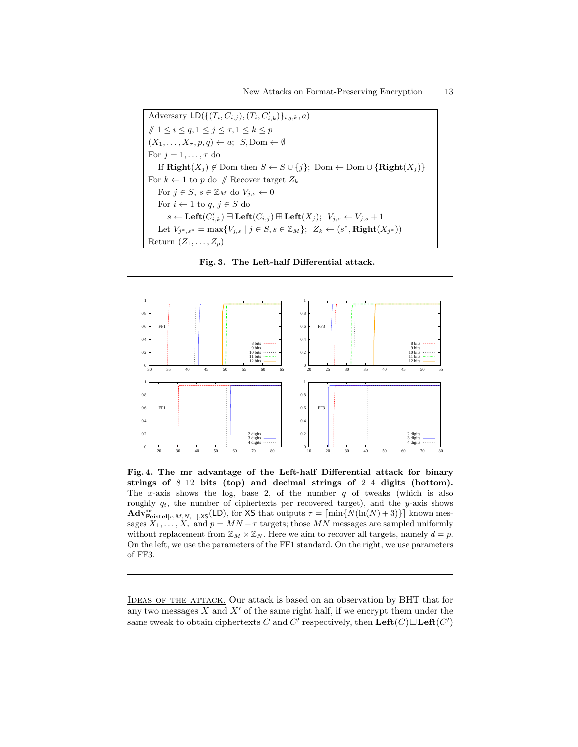Adversary  $LD(\{(T_i, C_{i,j}), (T_i, C'_{i,k})\}_{i,j,k}, a)$  $\# 1 \leq i \leq q, 1 \leq j \leq \tau, 1 \leq k \leq p$  $(X_1, \ldots, X_{\tau}, p, q) \leftarrow a; S, \text{Dom} \leftarrow \emptyset$ For  $j = 1, \ldots, \tau$  do If  $\mathbf{Right}(X_i) \notin \text{Dom}$  then  $S \leftarrow S \cup \{j\}$ ; Dom  $\leftarrow$  Dom  $\cup$   $\{\mathbf{Right}(X_j)\}$ For  $k \leftarrow 1$  to p do  $\#$  Recover target  $Z_k$ For  $j \in S$ ,  $s \in \mathbb{Z}_M$  do  $V_{j,s} \leftarrow 0$ For  $i \leftarrow 1$  to  $q, j \in S$  do  $s \leftarrow \textbf{Left}(C'_{i,k}) \boxminus \textbf{Left}(C_{i,j}) \boxplus \textbf{Left}(X_j); V_{j,s} \leftarrow V_{j,s} + 1$ Let  $V_{j^*,s^*} = \max\{V_{j,s} \mid j \in S, s \in \mathbb{Z}_M\}; Z_k \leftarrow (s^*, \text{Right}(X_{j^*}))$ Return  $(Z_1, \ldots, Z_p)$ 

Fig. 3. The Left-half Differential attack.



Fig. 4. The mr advantage of the Left-half Differential attack for binary strings of  $8-12$  bits (top) and decimal strings of  $2-4$  digits (bottom). The x-axis shows the log, base 2, of the number  $q$  of tweaks (which is also roughly  $q_t$ , the number of ciphertexts per recovered target), and the y-axis shows  $\mathbf{Adv}_{\mathbf{Feistel}[r,M,N,\boxplus],\mathsf{XS}}^{\mathsf{mr}}(\mathsf{LD}),$  for XS that outputs  $\tau = \lceil \min\{N(\ln(N) + 3)\}\rceil$  known messages  $X_1, \ldots, X_\tau$  and  $p = MN - \tau$  targets; those MN messages are sampled uniformly without replacement from  $\mathbb{Z}_M \times \mathbb{Z}_N$ . Here we aim to recover all targets, namely  $d = p$ . On the left, we use the parameters of the FF1 standard. On the right, we use parameters of FF3.

IDEAS OF THE ATTACK. Our attack is based on an observation by BHT that for any two messages  $X$  and  $X'$  of the same right half, if we encrypt them under the same tweak to obtain ciphertexts C and C' respectively, then  $\text{Left}(C) \boxminus \text{Left}(C')$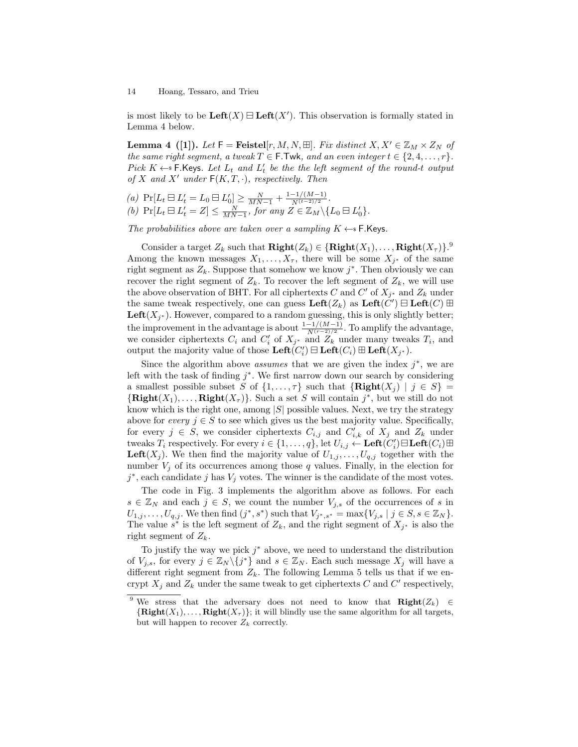is most likely to be  $\mathbf{Left}(X) \boxminus \mathbf{Left}(X')$ . This observation is formally stated in Lemma 4 below.

**Lemma 4** ([1]). Let  $F = \text{Feistel}[r, M, N, \boxplus]$ . Fix distinct  $X, X' \in \mathbb{Z}_M \times Z_N$  of the same right segment, a tweak  $T \in \mathsf{F}.\mathsf{Twk}$ , and an even integer  $t \in \{2, 4, \ldots, r\}$ . Pick  $K \leftarrow$  F. Keys. Let  $L_t$  and  $L'_t$  be the the left segment of the round-t output of X and X' under  $F(K, T, \cdot)$ , respectively. Then

(a)  $Pr[L_t \boxminus L'_t = L_0 \boxminus L'_0] \ge \frac{N}{MN-1} + \frac{1-1/(M-1)}{N^{(t-2)/2}}$  $\frac{-1/(M-1)}{N^{(t-2)/2}}$ . (b)  $Pr[L_t \boxminus L'_t = Z] \leq \frac{N}{MN-1}$ , for any  $Z \in \mathbb{Z}_M \backslash \{L_0 \boxminus L'_0\}$ .

The probabilities above are taken over a sampling  $K \leftarrow$  F.Keys.

Consider a target  $Z_k$  such that  $\mathbf{Right}(Z_k) \in {\mathbf{Right}(X_1), \ldots, \mathbf{Right}(X_{\tau})}$ . Among the known messages  $X_1, \ldots, X_{\tau}$ , there will be some  $X_{j^*}$  of the same right segment as  $Z_k$ . Suppose that somehow we know  $j^*$ . Then obviously we can recover the right segment of  $Z_k$ . To recover the left segment of  $Z_k$ , we will use the above observation of BHT. For all ciphertexts C and C' of  $X_{j^*}$  and  $Z_k$  under the same tweak respectively, one can guess  $\mathrm{Left}(Z_k)$  as  $\mathrm{Left}(\check{C}') \boxminus \mathrm{Left}(C) \boxplus$ **Left** $(X_{j^*})$ . However, compared to a random guessing, this is only slightly better; the improvement in the advantage is about  $\frac{1-\frac{1}{(M-1)}}{N^{(r-2)/2}}$ . To amplify the advantage, we consider ciphertexts  $C_i$  and  $C'_i$  of  $X_{j^*}$  and  $Z_k$  under many tweaks  $T_i$ , and output the majority value of those  $\mathbf{Left}(C_i') \boxminus \mathbf{Left}(C_i) \boxplus \mathbf{Left}(X_{j^*}).$ 

Since the algorithm above *assumes* that we are given the index  $j^*$ , we are left with the task of finding  $j^*$ . We first narrow down our search by considering a smallest possible subset S of  $\{1, \ldots, \tau\}$  such that  $\{Right(X_i) | j \in S\}$  ${\bf Right}(X_1), \ldots, {\bf Right}(X_{\tau})\}$ . Such a set S will contain j<sup>\*</sup>, but we still do not know which is the right one, among  $|S|$  possible values. Next, we try the strategy above for every  $j \in S$  to see which gives us the best majority value. Specifically, for every  $j \in S$ , we consider ciphertexts  $C_{i,j}$  and  $C'_{i,k}$  of  $X_j$  and  $Z_k$  under tweaks  $T_i$  respectively. For every  $i \in \{1, \ldots, q\}$ , let  $U_{i,j} \leftarrow \textbf{Left}(C_i') \boxminus \textbf{Left}(C_i) \boxplus$ **Left** $(X_j)$ . We then find the majority value of  $U_{1,j}, \ldots, U_{q,j}$  together with the number  $V_j$  of its occurrences among those q values. Finally, in the election for  $j^*$ , each candidate j has  $V_j$  votes. The winner is the candidate of the most votes.

The code in Fig. 3 implements the algorithm above as follows. For each  $s \in \mathbb{Z}_N$  and each  $j \in S$ , we count the number  $V_{j,s}$  of the occurrences of s in  $U_{1,j}, \ldots, U_{q,j}$ . We then find  $(j^*, s^*)$  such that  $V_{j^*, s^*} = \max\{V_{j,s} \mid j \in S, s \in \mathbb{Z}_N\}.$ The value  $s^*$  is the left segment of  $Z_k$ , and the right segment of  $X_{j^*}$  is also the right segment of  $Z_k$ .

To justify the way we pick  $j^*$  above, we need to understand the distribution of  $V_{j,s}$ , for every  $j \in \mathbb{Z}_N \backslash \{j^*\}$  and  $s \in \mathbb{Z}_N$ . Each such message  $X_j$  will have a different right segment from  $Z_k$ . The following Lemma 5 tells us that if we encrypt  $X_j$  and  $Z_k$  under the same tweak to get ciphertexts C and C' respectively,

<sup>&</sup>lt;sup>9</sup> We stress that the adversary does not need to know that  $\mathbf{Right}(Z_k) \in$  $\{Right(X_1), \ldots, Right(X_{\tau})\};$  it will blindly use the same algorithm for all targets, but will happen to recover  $Z_k$  correctly.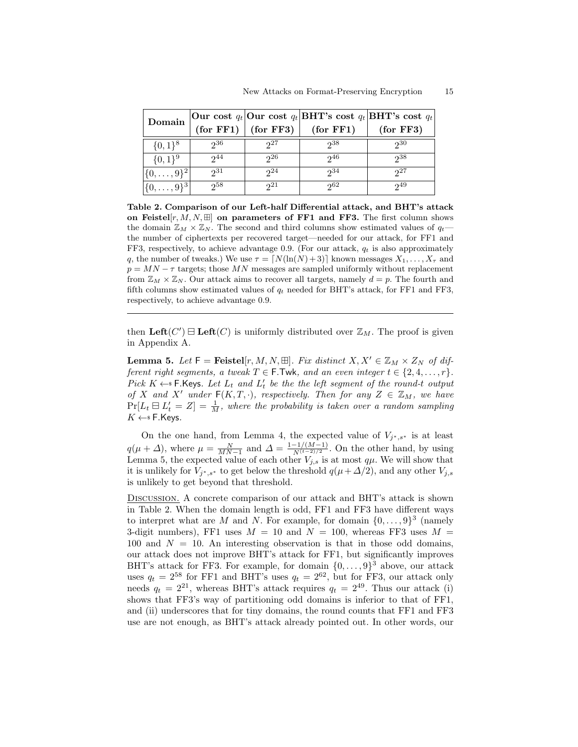| Domain             |           |                         |           | $\left \mathbf{Our~cost}~q_t \mathbf{Our~cost}~q_t \mathbf{BHT}\text{'s~cost~}q_t \mathbf{BHT}\text{'s~cost~}q_t\right $ |
|--------------------|-----------|-------------------------|-----------|--------------------------------------------------------------------------------------------------------------------------|
|                    | (for FF1) | $\mid$ (for FF3) $\mid$ | (for FF1) | (for FF3)                                                                                                                |
| $\{0,1\}^8$        | 236       |                         | 238       | $20^{\circ}$                                                                                                             |
| $\{0,1\}^9$        | 244       | 26                      | 246       | 238                                                                                                                      |
| $\{0,\ldots,9\}^2$ | 231       | 2 <sub>4</sub>          | 234       | 27                                                                                                                       |
| $(0,\ldots,9)^3$   | 258       | 21                      | 2002      | 249                                                                                                                      |

Table 2. Comparison of our Left-half Differential attack, and BHT's attack on Feistel $[r, M, N, \boxplus]$  on parameters of FF1 and FF3. The first column shows the domain  $\mathbb{Z}_M \times \mathbb{Z}_N$ . The second and third columns show estimated values of  $q_t$ the number of ciphertexts per recovered target—needed for our attack, for FF1 and FF3, respectively, to achieve advantage 0.9. (For our attack,  $q_t$  is also approximately q, the number of tweaks.) We use  $\tau = [N(\ln(N) + 3)]$  known messages  $X_1, \ldots, X_\tau$  and  $p = MN - \tau$  targets; those MN messages are sampled uniformly without replacement from  $\mathbb{Z}_M \times \mathbb{Z}_N$ . Our attack aims to recover all targets, namely  $d = p$ . The fourth and fifth columns show estimated values of  $q_t$  needed for BHT's attack, for FF1 and FF3, respectively, to achieve advantage 0.9.

then  $\text{Left}(C') \boxminus \text{Left}(C)$  is uniformly distributed over  $\mathbb{Z}_M$ . The proof is given in Appendix A.

**Lemma 5.** Let  $F = \text{Feistel}[r, M, N, \boxplus]$ . Fix distinct  $X, X' \in \mathbb{Z}_M \times Z_N$  of different right segments, a tweak  $T \in \mathsf{F}$ . Twk, and an even integer  $t \in \{2, 4, \ldots, r\}$ . Pick  $K \leftarrow$  F. Keys. Let  $L_t$  and  $L'_t$  be the the left segment of the round-t output of X and X' under  $F(K, T, \cdot)$ , respectively. Then for any  $Z \in \mathbb{Z}_M$ , we have  $Pr[L_t \boxminus L'_t = Z] = \frac{1}{M}$ , where the probability is taken over a random sampling  $K \leftarrow$  F.Keys.

On the one hand, from Lemma 4, the expected value of  $V_{j^*,s^*}$  is at least  $q(\mu + \Delta)$ , where  $\mu = \frac{N}{MN-1}$  and  $\Delta = \frac{1 - 1/(M-1)}{N^{(t-2)/2}}$  $\frac{-1/(M-1)}{N^{(t-2)/2}}$ . On the other hand, by using Lemma 5, the expected value of each other  $V_{j,s}$  is at most  $q\mu$ . We will show that it is unlikely for  $V_{j^*,s^*}$  to get below the threshold  $q(\mu+\Delta/2)$ , and any other  $V_{j,s}$ is unlikely to get beyond that threshold.

Discussion. A concrete comparison of our attack and BHT's attack is shown in Table 2. When the domain length is odd, FF1 and FF3 have different ways to interpret what are M and N. For example, for domain  $\{0, \ldots, 9\}^3$  (namely 3-digit numbers), FF1 uses  $M = 10$  and  $N = 100$ , whereas FF3 uses  $M =$ 100 and  $N = 10$ . An interesting observation is that in those odd domains. our attack does not improve BHT's attack for FF1, but significantly improves BHT's attack for FF3. For example, for domain  $\{0, \ldots, 9\}^3$  above, our attack uses  $q_t = 2^{58}$  for FF1 and BHT's uses  $q_t = 2^{62}$ , but for FF3, our attack only needs  $q_t = 2^{21}$ , whereas BHT's attack requires  $q_t = 2^{49}$ . Thus our attack (i) shows that FF3's way of partitioning odd domains is inferior to that of FF1, and (ii) underscores that for tiny domains, the round counts that FF1 and FF3 use are not enough, as BHT's attack already pointed out. In other words, our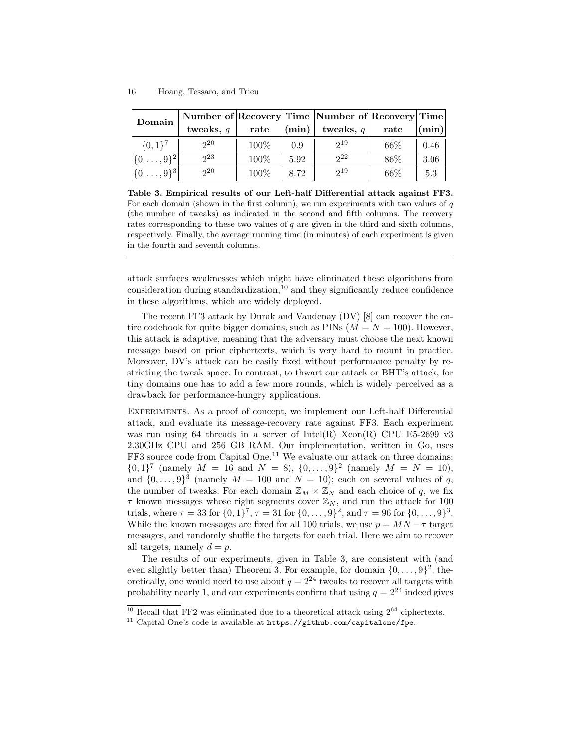| Domain                          |                  |      |          | $\ {\rm Number\ of} {\rm Recovery} {\rm Time}\ {\rm Number\ of} {\rm Recovery} {\rm Time}\ $ |        |       |
|---------------------------------|------------------|------|----------|----------------------------------------------------------------------------------------------|--------|-------|
|                                 | tweaks, $q \mid$ | rate | $(\min)$ | tweaks, $q \mid$                                                                             | rate   | (min) |
| $\{0,1\}^7$                     | 20               | 100% | 0.9      | $2^{19}$                                                                                     | 66\%   | 0.46  |
| $\{0,\ldots,9\}^2$ <sub>1</sub> | $2^{23}$         | 100% | 5.92     | 22                                                                                           | $86\%$ | 3.06  |
|                                 | $2^{20}$         | 100% | 8.72     | $2^{19}$                                                                                     | $66\%$ | 5.3   |

Table 3. Empirical results of our Left-half Differential attack against FF3. For each domain (shown in the first column), we run experiments with two values of  $q$ (the number of tweaks) as indicated in the second and fifth columns. The recovery rates corresponding to these two values of  $q$  are given in the third and sixth columns, respectively. Finally, the average running time (in minutes) of each experiment is given in the fourth and seventh columns.

attack surfaces weaknesses which might have eliminated these algorithms from consideration during standardization, $^{10}$  and they significantly reduce confidence in these algorithms, which are widely deployed.

The recent FF3 attack by Durak and Vaudenay (DV) [8] can recover the entire codebook for quite bigger domains, such as PINs  $(M = N = 100)$ . However, this attack is adaptive, meaning that the adversary must choose the next known message based on prior ciphertexts, which is very hard to mount in practice. Moreover, DV's attack can be easily fixed without performance penalty by restricting the tweak space. In contrast, to thwart our attack or BHT's attack, for tiny domains one has to add a few more rounds, which is widely perceived as a drawback for performance-hungry applications.

EXPERIMENTS. As a proof of concept, we implement our Left-half Differential attack, and evaluate its message-recovery rate against FF3. Each experiment was run using 64 threads in a server of Intel(R) Xeon(R) CPU E5-2699 v3 2.30GHz CPU and 256 GB RAM. Our implementation, written in Go, uses FF3 source code from Capital One.<sup>11</sup> We evaluate our attack on three domains:  ${0,1}^7$  (namely  $M = 16$  and  $N = 8$ ),  ${0, \ldots, 9}^2$  (namely  $M = N = 10$ ), and  $\{0,\ldots,9\}^3$  (namely  $M = 100$  and  $N = 10$ ); each on several values of q, the number of tweaks. For each domain  $\mathbb{Z}_M \times \mathbb{Z}_N$  and each choice of q, we fix  $\tau$  known messages whose right segments cover  $\mathbb{Z}_N$ , and run the attack for 100 trials, where  $\tau = 33$  for  $\{0, 1\}^7$ ,  $\tau = 31$  for  $\{0, \ldots, 9\}^2$ , and  $\tau = 96$  for  $\{0, \ldots, 9\}^3$ . While the known messages are fixed for all 100 trials, we use  $p = MN - \tau$  target messages, and randomly shuffle the targets for each trial. Here we aim to recover all targets, namely  $d = p$ .

The results of our experiments, given in Table 3, are consistent with (and even slightly better than) Theorem 3. For example, for domain  $\{0, \ldots, 9\}^2$ , theoretically, one would need to use about  $q = 2^{24}$  tweaks to recover all targets with probability nearly 1, and our experiments confirm that using  $q = 2^{24}$  indeed gives

 $\frac{10}{10}$  Recall that FF2 was eliminated due to a theoretical attack using  $2^{64}$  ciphertexts.

 $11$  Capital One's code is available at https://github.com/capitalone/fpe.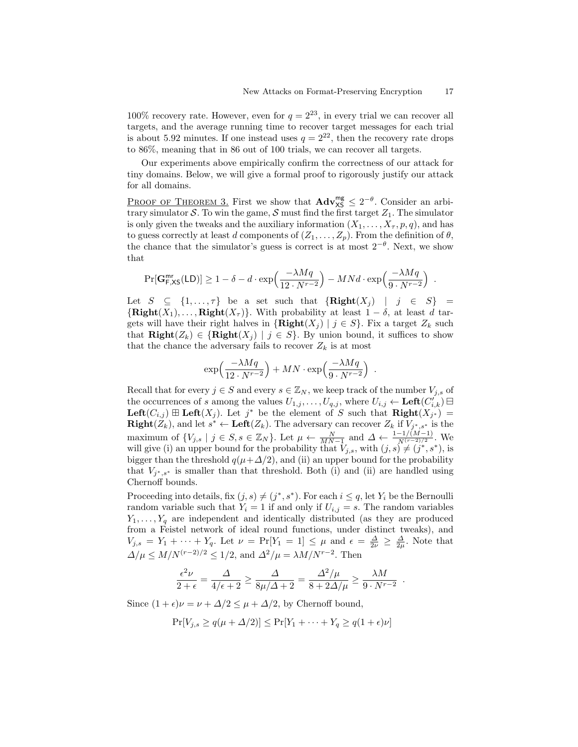.

.

.

100% recovery rate. However, even for  $q = 2^{23}$ , in every trial we can recover all targets, and the average running time to recover target messages for each trial is about 5.92 minutes. If one instead uses  $q = 2^{22}$ , then the recovery rate drops to 86%, meaning that in 86 out of 100 trials, we can recover all targets.

Our experiments above empirically confirm the correctness of our attack for tiny domains. Below, we will give a formal proof to rigorously justify our attack for all domains.

**PROOF OF THEOREM 3.** First we show that  $\mathbf{Adv}_{\mathsf{XS}}^{\mathsf{mg}} \leq 2^{-\theta}$ . Consider an arbitrary simulator S. To win the game, S must find the first target  $Z_1$ . The simulator is only given the tweaks and the auxiliary information  $(X_1, \ldots, X_{\tau}, p, q)$ , and has to guess correctly at least d components of  $(Z_1, \ldots, Z_p)$ . From the definition of  $\theta$ , the chance that the simulator's guess is correct is at most  $2^{-\theta}$ . Next, we show that

$$
\Pr[\mathbf{G}^{\text{mr}}_{\mathsf{F},\mathsf{XS}}(\mathsf{LD})] \ge 1 - \delta - d \cdot \exp\left(\frac{-\lambda Mq}{12 \cdot N^{r-2}}\right) - MNd \cdot \exp\left(\frac{-\lambda Mq}{9 \cdot N^{r-2}}\right)
$$

Let  $S \subseteq \{1, \ldots, \tau\}$  be a set such that  $\{Right(X_j) \mid j \in S\}$  ${\bf Right}(X_1), \ldots, {\bf Right}(X_\tau)$ . With probability at least  $1 - \delta$ , at least d targets will have their right halves in  $\{Right(X_j) | j \in S\}$ . Fix a target  $Z_k$  such that **Right** $(Z_k) \in \{\text{Right}(X_j) \mid j \in S\}$ . By union bound, it suffices to show that the chance the adversary fails to recover  $Z_k$  is at most

$$
\exp\left(\frac{-\lambda Mq}{12 \cdot N^{r-2}}\right) + MN \cdot \exp\left(\frac{-\lambda Mq}{9 \cdot N^{r-2}}\right)
$$

Recall that for every  $j \in S$  and every  $s \in \mathbb{Z}_N$ , we keep track of the number  $V_{j,s}$  of the occurrences of s among the values  $U_{1,j}, \ldots, U_{q,j}$ , where  $U_{i,j} \leftarrow \textbf{Left}(C'_{i,k}) \boxminus$ Left( $C_{i,j}$ )  $\boxplus$  Left( $X_j$ ). Let  $j^*$  be the element of S such that  $\mathbf{Right}(X_j^*)$  = **Right** $(Z_k)$ , and let  $s^* \leftarrow \text{Left}(Z_k)$ . The adversary can recover  $Z_k$  if  $V_{j^*,s^*}$  is the maximum of  $\{V_{j,s} \mid j \in S, s \in \mathbb{Z}_N\}$ . Let  $\mu \leftarrow \frac{N}{MN-1}$  and  $\Delta \leftarrow \frac{1-1/(M-1)}{N^{(r-2)/2}}$ . We will give (i) an upper bound for the probability that  $V_{j,s}$ , with  $(j,s) \neq (j^*,s^*)$ , is bigger than the threshold  $q(\mu+\Delta/2)$ , and (ii) an upper bound for the probability that  $V_{j^*,s^*}$  is smaller than that threshold. Both (i) and (ii) are handled using Chernoff bounds.

Proceeding into details, fix  $(j, s) \neq (j^*, s^*)$ . For each  $i \leq q$ , let  $Y_i$  be the Bernoulli random variable such that  $Y_i = 1$  if and only if  $U_{i,j} = s$ . The random variables  $Y_1, \ldots, Y_q$  are independent and identically distributed (as they are produced from a Feistel network of ideal round functions, under distinct tweaks), and  $V_{j,s} = Y_1 + \cdots + Y_q$ . Let  $\nu = \Pr[Y_1 = 1] \leq \mu$  and  $\epsilon = \frac{\Delta}{2\nu} \geq \frac{\Delta}{2\mu}$ . Note that  $\Delta/\mu \leq M/N^{(r-2)/2} \leq 1/2$ , and  $\Delta^2/\mu = \lambda M/N^{r-2}$ . Then

$$
\frac{\epsilon^2\nu}{2+\epsilon} = \frac{\Delta}{4/\epsilon+2} \geq \frac{\Delta}{8\mu/\Delta+2} = \frac{\Delta^2/\mu}{8+2\Delta/\mu} \geq \frac{\lambda M}{9\cdot N^{r-2}}
$$

Since  $(1 + \epsilon)\nu = \nu + \Delta/2 \leq \mu + \Delta/2$ , by Chernoff bound,

$$
\Pr[V_{j,s} \ge q(\mu + \Delta/2)] \le \Pr[Y_1 + \dots + Y_q \ge q(1+\epsilon)\nu]
$$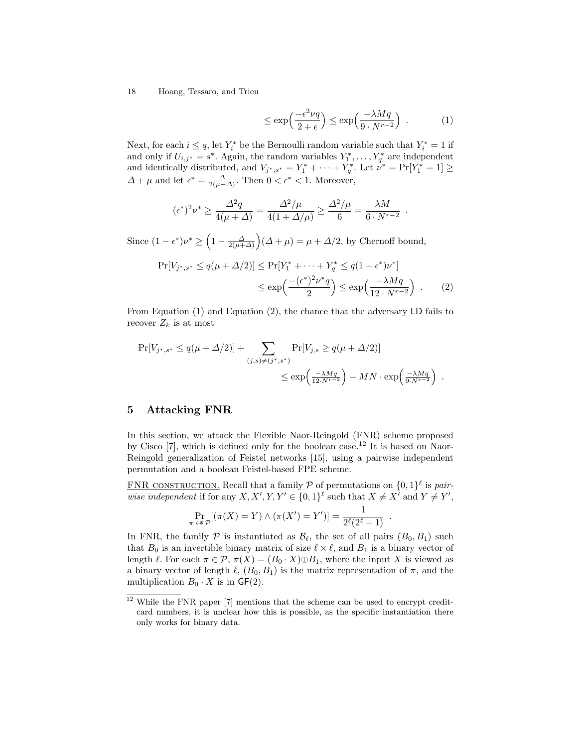$$
\leq \exp\left(\frac{-\epsilon^2 \nu q}{2+\epsilon}\right) \leq \exp\left(\frac{-\lambda Mq}{9 \cdot N^{r-2}}\right) \ . \tag{1}
$$

.

Next, for each  $i \leq q$ , let  $Y_i^*$  be the Bernoulli random variable such that  $Y_i^* = 1$  if and only if  $U_{i,j^*} = s^*$ . Again, the random variables  $Y_1^*, \ldots, Y_q^*$  are independent and identically distributed, and  $V_{j^*,s^*} = Y_1^* + \cdots + Y_q^*$ . Let  $\nu^* = \Pr[Y_1^* = 1] \ge$  $\Delta + \mu$  and let  $\epsilon^* = \frac{\Delta}{2(\mu + \Delta)}$ . Then  $0 < \epsilon^* < 1$ . Moreover,

$$
(\epsilon^*)^2 \nu^* \ge \frac{\Delta^2 q}{4(\mu + \Delta)} = \frac{\Delta^2/\mu}{4(1 + \Delta/\mu)} \ge \frac{\Delta^2/\mu}{6} = \frac{\lambda M}{6 \cdot N^{r-2}}
$$

Since  $(1 - \epsilon^*)\nu^* \geq \left(1 - \frac{\Delta}{2(\mu + \Delta)}\right)(\Delta + \mu) = \mu + \Delta/2$ , by Chernoff bound,

$$
\Pr[V_{j^*,s^*} \le q(\mu + \Delta/2)] \le \Pr[Y_1^* + \dots + Y_q^* \le q(1 - \epsilon^*)\nu^*]
$$
  

$$
\le \exp\left(\frac{-(\epsilon^*)^2 \nu^* q}{2}\right) \le \exp\left(\frac{-\lambda Mq}{12 \cdot N^{r-2}}\right) . \tag{2}
$$

From Equation (1) and Equation (2), the chance that the adversary LD fails to recover  $Z_k$  is at most

$$
\Pr[V_{j^*,s^*} \le q(\mu + \Delta/2)] + \sum_{(j,s)\neq (j^*,s^*)} \Pr[V_{j,s} \ge q(\mu + \Delta/2)]
$$
  

$$
\le \exp\left(\frac{-\lambda Mq}{12\cdot N^{r-2}}\right) + MN \cdot \exp\left(\frac{-\lambda Mq}{9\cdot N^{r-2}}\right).
$$

# 5 Attacking FNR

In this section, we attack the Flexible Naor-Reingold (FNR) scheme proposed by Cisco  $[7]$ , which is defined only for the boolean case.<sup>12</sup> It is based on Naor-Reingold generalization of Feistel networks [15], using a pairwise independent permutation and a boolean Feistel-based FPE scheme.

FNR CONSTRUCTION. Recall that a family P of permutations on  $\{0,1\}^{\ell}$  is pairwise independent if for any  $X, X', Y, Y' \in \{0,1\}^{\ell}$  such that  $X \neq X'$  and  $Y \neq Y'$ ,

$$
\Pr_{\pi \leftrightarrow \pi} [(\pi(X) = Y) \wedge (\pi(X') = Y')] = \frac{1}{2^{\ell}(2^{\ell} - 1)}.
$$

In FNR, the family P is instantiated as  $\mathcal{B}_{\ell}$ , the set of all pairs  $(B_0, B_1)$  such that  $B_0$  is an invertible binary matrix of size  $\ell \times \ell$ , and  $B_1$  is a binary vector of length  $\ell$ . For each  $\pi \in \mathcal{P}$ ,  $\pi(X) = (B_0 \cdot X) \oplus B_1$ , where the input X is viewed as a binary vector of length  $\ell$ ,  $(B_0, B_1)$  is the matrix representation of  $\pi$ , and the multiplication  $B_0 \cdot X$  is in  $GF(2)$ .

<sup>&</sup>lt;sup>12</sup> While the FNR paper [7] mentions that the scheme can be used to encrypt creditcard numbers, it is unclear how this is possible, as the specific instantiation there only works for binary data.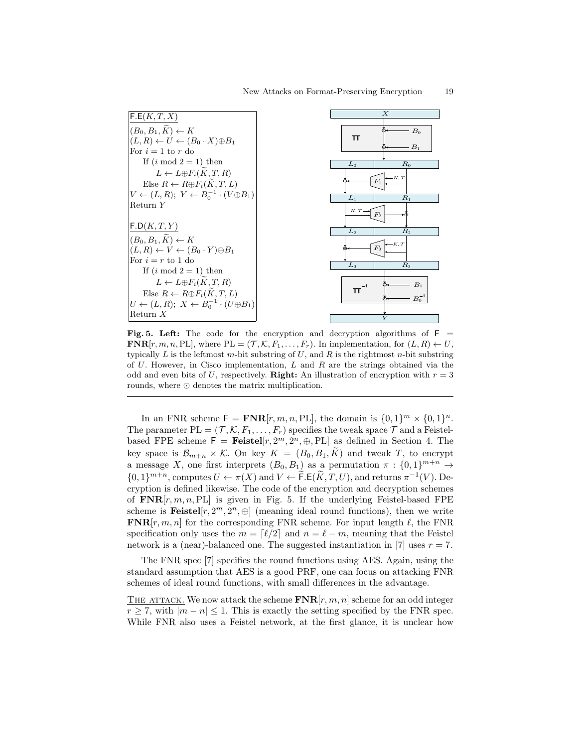| F.E(K,T,X)                                                         | $\boldsymbol{X}$          |
|--------------------------------------------------------------------|---------------------------|
|                                                                    |                           |
| $(B_0, B_1, \widetilde{K}) \leftarrow K$                           | $B_0$                     |
| $(L, R) \leftarrow U \leftarrow (B_0 \cdot X) \oplus B_1$          | π                         |
| For $i=1$ to r do                                                  | $B_1$                     |
| If $(i \mod 2 = 1)$ then                                           |                           |
|                                                                    | $L_0$<br>$R_0$            |
| $L \leftarrow L \oplus F_i(K, T, R)$                               | $-K$ , $T$                |
| Else $R \leftarrow R \oplus F_i(K, T, L)$                          | $F_{1}$                   |
| $V \leftarrow (L, R); Y \leftarrow B_0^{-1} \cdot (V \oplus B_1)$  | $L_1$<br>$R_1$            |
| Return Y                                                           |                           |
|                                                                    | $K, T -$<br>$F_2$         |
| F.D(K,T,Y)                                                         |                           |
|                                                                    | $R_{2}$<br>L <sub>2</sub> |
| $(B_0, B_1, \widetilde{K}) \leftarrow K$                           | $-K, T$                   |
| $(L,R) \leftarrow V \leftarrow (B_0 \cdot Y) \oplus B_1$           | $F_{3}$                   |
| For $i = r$ to 1 do                                                |                           |
|                                                                    | L <sub>3</sub><br>$R_3$   |
| If $(i \mod 2 = 1)$ then                                           |                           |
| $L \leftarrow L \oplus F_i(K, T, R)$                               | $B_1$<br>$-1$             |
| Else $R \leftarrow R \oplus F_i(K, T, L)$                          | π<br>$B_0^{-1}$           |
| $ U \leftarrow (L, R); X \leftarrow B_0^{-1} \cdot (U \oplus B_1)$ |                           |
| Return $X$                                                         | $\overline{Y}$            |

Fig. 5. Left: The code for the encryption and decryption algorithms of  $F =$ FNR $[r, m, n, PL]$ , where  $PL = (\mathcal{T}, \mathcal{K}, F_1, \ldots, F_r)$ . In implementation, for  $(L, R) \leftarrow U$ , typically L is the leftmost m-bit substring of U, and R is the rightmost n-bit substring of  $U$ . However, in Cisco implementation,  $L$  and  $R$  are the strings obtained via the odd and even bits of U, respectively. **Right:** An illustration of encryption with  $r = 3$ rounds, where  $\odot$  denotes the matrix multiplication.

In an FNR scheme  $\mathsf{F} = \textbf{FNR}[r, m, n, PL]$ , the domain is  $\{0, 1\}^m \times \{0, 1\}^n$ . The parameter  $PL = (\mathcal{T}, \mathcal{K}, F_1, \ldots, F_r)$  specifies the tweak space  $\mathcal{T}$  and a Feistelbased FPE scheme  $F =$  Feistel $[r, 2^m, 2^n, \oplus, PL]$  as defined in Section 4. The key space is  $\mathcal{B}_{m+n} \times \mathcal{K}$ . On key  $K = (B_0, B_1, \tilde{K})$  and tweak T, to encrypt a message X, one first interprets  $(B_0, B_1)$  as a permutation  $\pi : \{0, 1\}^{m+n} \to$  $\{0,1\}^{m+n}$ , computes  $U \leftarrow \pi(X)$  and  $V \leftarrow \widetilde{\mathsf{F}}.\mathsf{E}(\widetilde{K},T,U)$ , and returns  $\pi^{-1}(V)$ . Decryption is defined likewise. The code of the encryption and decryption schemes of  $\mathbf{FNR}[r, m, n, PL]$  is given in Fig. 5. If the underlying Feistel-based FPE scheme is **Feistel** $[r, 2^m, 2^n, \oplus]$  (meaning ideal round functions), then we write  $\mathbf{FNR}[r, m, n]$  for the corresponding FNR scheme. For input length  $\ell$ , the FNR specification only uses the  $m = \lceil \ell/2 \rceil$  and  $n = \ell - m$ , meaning that the Feistel network is a (near)-balanced one. The suggested instantiation in [7] uses  $r = 7$ .

The FNR spec [7] specifies the round functions using AES. Again, using the standard assumption that AES is a good PRF, one can focus on attacking FNR schemes of ideal round functions, with small differences in the advantage.

THE ATTACK. We now attack the scheme  $\mathbf{FNR}[r, m, n]$  scheme for an odd integer  $r \geq 7$ , with  $|m - n| \leq 1$ . This is exactly the setting specified by the FNR spec. While FNR also uses a Feistel network, at the first glance, it is unclear how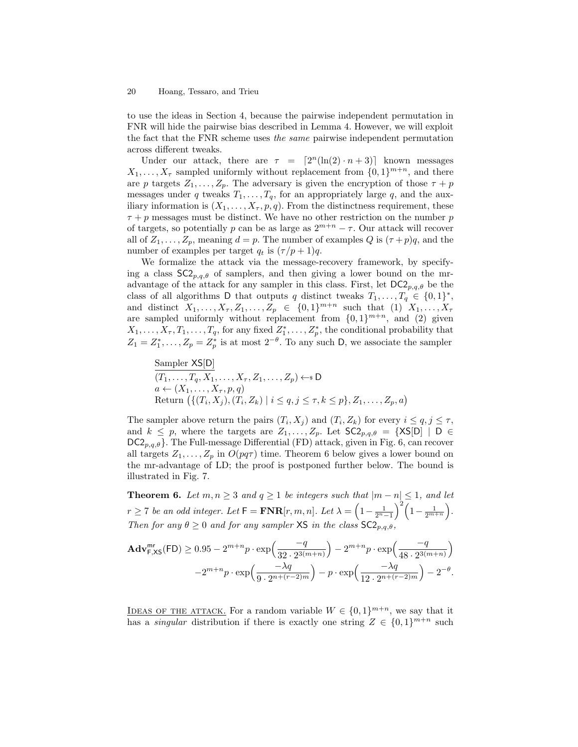to use the ideas in Section 4, because the pairwise independent permutation in FNR will hide the pairwise bias described in Lemma 4. However, we will exploit the fact that the FNR scheme uses the same pairwise independent permutation across different tweaks.

Under our attack, there are  $\tau = \left[2^n(\ln(2) \cdot n + 3)\right]$  known messages  $X_1, \ldots, X_\tau$  sampled uniformly without replacement from  $\{0, 1\}^{m+n}$ , and there are p targets  $Z_1, \ldots, Z_p$ . The adversary is given the encryption of those  $\tau + p$ messages under q tweaks  $T_1, \ldots, T_q$ , for an appropriately large q, and the auxiliary information is  $(X_1, \ldots, X_{\tau}, p, q)$ . From the distinctness requirement, these  $\tau + p$  messages must be distinct. We have no other restriction on the number p of targets, so potentially p can be as large as  $2^{m+n} - \tau$ . Our attack will recover all of  $Z_1, \ldots, Z_p$ , meaning  $d = p$ . The number of examples Q is  $(\tau + p)q$ , and the number of examples per target  $q_t$  is  $(\tau/p+1)q$ .

We formalize the attack via the message-recovery framework, by specifying a class  $SC2_{p,q,\theta}$  of samplers, and then giving a lower bound on the mradvantage of the attack for any sampler in this class. First, let  $DC2_{p,q,\theta}$  be the class of all algorithms D that outputs q distinct tweaks  $T_1, \ldots, T_q \in \{0,1\}^*,$ and distinct  $X_1, ..., X_{\tau}, Z_1, ..., Z_p \in \{0,1\}^{m+n}$  such that  $(1)$   $X_1, ..., X_{\tau}$ are sampled uniformly without replacement from  $\{0,1\}^{m+n}$ , and (2) given  $X_1, \ldots, X_{\tau}, T_1, \ldots, T_q$ , for any fixed  $Z_1^*, \ldots, Z_p^*$ , the conditional probability that  $Z_1 = Z_1^*, \ldots, Z_p = Z_p^*$  is at most  $2^{-\theta}$ . To any such D, we associate the sampler

$$
\frac{\text{Sampler } \mathsf{X}\mathsf{S}[D]}{(T_1, \dots, T_q, X_1, \dots, X_\tau, Z_1, \dots, Z_p) \leftarrow \mathsf{s} \mathsf{D}}\n a \leftarrow (X_1, \dots, X_\tau, p, q)\n \text{Return } (\{(T_i, X_j), (T_i, Z_k) \mid i \leq q, j \leq \tau, k \leq p\}, Z_1, \dots, Z_p, a)
$$

The sampler above return the pairs  $(T_i, X_j)$  and  $(T_i, Z_k)$  for every  $i \leq q, j \leq \tau$ , and  $k \leq p$ , where the targets are  $Z_1, \ldots, Z_p$ . Let  $\mathsf{SC2}_{p,q,\theta} = \{ \mathsf{XS}[\mathsf{D}] \mid \mathsf{D} \in$  $DC2_{p,q,\theta}$ . The Full-message Differential (FD) attack, given in Fig. 6, can recover all targets  $Z_1, \ldots, Z_p$  in  $O(pq\tau)$  time. Theorem 6 below gives a lower bound on the mr-advantage of LD; the proof is postponed further below. The bound is illustrated in Fig. 7.

**Theorem 6.** Let  $m, n \geq 3$  and  $q \geq 1$  be integers such that  $|m - n| \leq 1$ , and let  $r \geq 7$  be an odd integer. Let  $\mathsf{F} = \mathbf{FNR}[r,m,n]$ . Let  $\lambda = \left(1 - \frac{1}{2^{n-1}}\right)^2 \left(1 - \frac{1}{2^{m+n}}\right)$ . Then for any  $\theta \geq 0$  and for any sampler XS in the class  $SC2_{n,q,\theta}$ 

$$
\mathbf{Adv}_{\mathsf{F},\mathsf{XS}}^{\mathsf{mr}}(\mathsf{FD}) \ge 0.95 - 2^{m+n}p \cdot \exp\left(\frac{-q}{32 \cdot 2^{3(m+n)}}\right) - 2^{m+n}p \cdot \exp\left(\frac{-q}{48 \cdot 2^{3(m+n)}}\right) - 2^{m+n}p \cdot \exp\left(\frac{-\lambda q}{9 \cdot 2^{n+(r-2)m}}\right) - p \cdot \exp\left(\frac{-\lambda q}{12 \cdot 2^{n+(r-2)m}}\right) - 2^{-\theta}.
$$

IDEAS OF THE ATTACK. For a random variable  $W \in \{0,1\}^{m+n}$ , we say that it has a *singular* distribution if there is exactly one string  $Z \in \{0,1\}^{m+n}$  such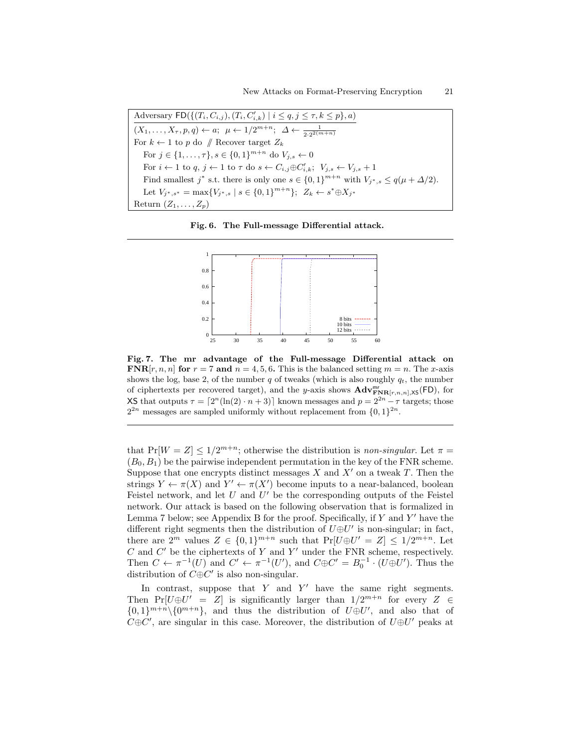Adversary  $FD(\{(T_i, C_{i,j}), (T_i, C'_{i,k}) \mid i \leq q, j \leq \tau, k \leq p\}, a)$  $(X_1, \ldots, X_{\tau}, p, q) \leftarrow a; \mu \leftarrow 1/2^{m+n}; \Delta \leftarrow \frac{1}{2 \cdot 2^{2(m+n)}}$ For  $k \leftarrow 1$  to p do  $\#$  Recover target  $Z_k$ For  $j \in \{1, ..., \tau\}, s \in \{0, 1\}^{m+n}$  do  $V_{j, s} \leftarrow 0$ For  $i \leftarrow 1$  to  $q, j \leftarrow 1$  to  $\tau$  do  $s \leftarrow C_{i,j} \oplus C'_{i,k}; V_{j,s} \leftarrow V_{j,s} + 1$ Find smallest  $j^*$  s.t. there is only one  $s \in \{0,1\}^{m+n}$  with  $V_{j^*,s} \leq q(\mu + \Delta/2)$ . Let  $V_{j^*,s^*} = \max\{V_{j^*,s} \mid s \in \{0,1\}^{m+n}\}; Z_k \leftarrow s^* \oplus X_{j^*}$ Return  $(Z_1, \ldots, Z_p)$ 

Fig. 6. The Full-message Differential attack.



Fig. 7. The mr advantage of the Full-message Differential attack on FNR[r, n, n] for  $r = 7$  and  $n = 4, 5, 6$ . This is the balanced setting  $m = n$ . The x-axis shows the log, base 2, of the number q of tweaks (which is also roughly  $q_t$ , the number of ciphertexts per recovered target), and the y-axis shows  $\mathbf{Adv}_{\mathbf{FNR}[r,n,n],\mathsf{XS}}^{\mathsf{mr}}(\mathsf{FD}),$  for XS that outputs  $\tau = \lceil 2^n (\ln(2) \cdot n + 3) \rceil$  known messages and  $p = 2^{2n} - \tau$  targets; those  $2^{2n}$  messages are sampled uniformly without replacement from  $\{0,1\}^{2n}$ .

that  $Pr[W = Z] \leq 1/2^{m+n}$ ; otherwise the distribution is non-singular. Let  $\pi =$  $(B_0, B_1)$  be the pairwise independent permutation in the key of the FNR scheme. Suppose that one encrypts distinct messages  $X$  and  $X'$  on a tweak  $T$ . Then the strings  $Y \leftarrow \pi(X)$  and  $Y' \leftarrow \pi(X')$  become inputs to a near-balanced, boolean Feistel network, and let  $U$  and  $U'$  be the corresponding outputs of the Feistel network. Our attack is based on the following observation that is formalized in Lemma 7 below; see Appendix B for the proof. Specifically, if  $Y$  and  $Y'$  have the different right segments then the distribution of  $U \oplus U'$  is non-singular; in fact, there are  $2^m$  values  $Z \in \{0,1\}^{m+n}$  such that  $Pr[U \oplus U' = Z] \leq 1/2^{m+n}$ . Let  $C$  and  $C'$  be the ciphertexts of Y and Y' under the FNR scheme, respectively. Then  $C \leftarrow \pi^{-1}(U)$  and  $C' \leftarrow \pi^{-1}(U')$ , and  $C \oplus C' = B_0^{-1} \cdot (U \oplus U')$ . Thus the distribution of  $C \oplus C'$  is also non-singular.

In contrast, suppose that  $Y$  and  $Y'$  have the same right segments. Then  $Pr[U \oplus U' = Z]$  is significantly larger than  $1/2^{m+n}$  for every  $Z \in$  $\{0,1\}^{m+n}\setminus\{0^{m+n}\}\$ , and thus the distribution of  $U\oplus U'$ , and also that of  $C \oplus C'$ , are singular in this case. Moreover, the distribution of  $U \oplus U'$  peaks at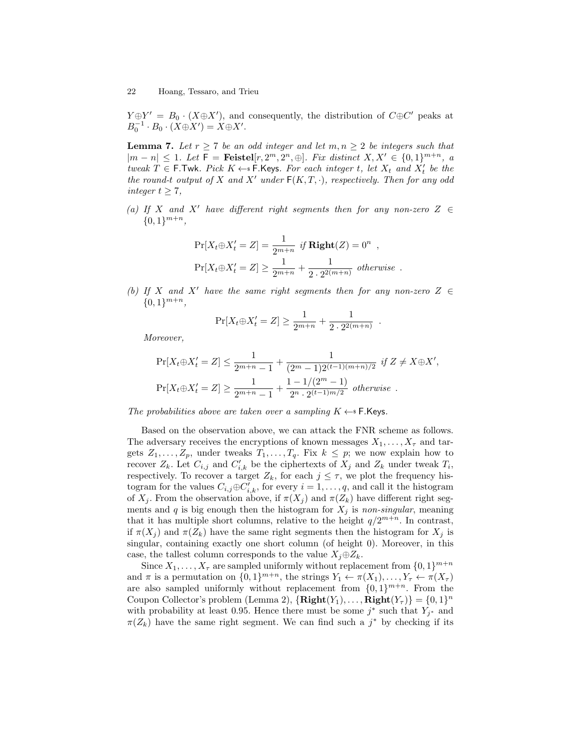$Y \oplus Y' = B_0 \cdot (X \oplus X')$ , and consequently, the distribution of  $C \oplus C'$  peaks at  $B_0^{-1} \cdot B_0 \cdot (X \oplus X') = X \oplus X'.$ 

**Lemma 7.** Let  $r > 7$  be an odd integer and let  $m, n > 2$  be integers such that  $|m - n|$  ≤ 1. Let **F** = **Feistel**[r, 2<sup>m</sup>, 2<sup>n</sup>, ⊕]. Fix distinct  $X, X' \in \{0, 1\}^{m+n}$ , a tweak  $T \in \mathsf{F}.\mathsf{Twk}$ . Pick  $K \leftarrow \mathsf{s} \mathsf{F}.\mathsf{Keys}$ . For each integer t, let  $X_t$  and  $X_t'$  be the the round-t output of X and X' under  $F(K, T, \cdot)$ , respectively. Then for any odd integer  $t \geq 7$ ,

(a) If X and X' have different right segments then for any non-zero  $Z \in$  ${0,1\}^{m+n},$ 

$$
\Pr[X_t \oplus X'_t = Z] = \frac{1}{2^{m+n}} \text{ if } \mathbf{Right}(Z) = 0^n ,
$$
  

$$
\Pr[X_t \oplus X'_t = Z] \ge \frac{1}{2^{m+n}} + \frac{1}{2 \cdot 2^{2(m+n)}} \text{ otherwise }.
$$

(b) If X and X' have the same right segments then for any non-zero Z ∈  ${0,1\}^{m+n},$ 

$$
\Pr[X_t \oplus X'_t = Z] \ge \frac{1}{2^{m+n}} + \frac{1}{2 \cdot 2^{2(m+n)}}
$$

.

Moreover,

$$
\Pr[X_t \oplus X'_t = Z] \le \frac{1}{2^{m+n} - 1} + \frac{1}{(2^m - 1)2^{(t-1)(m+n)/2}} \text{ if } Z \ne X \oplus X',
$$
  

$$
\Pr[X_t \oplus X'_t = Z] \ge \frac{1}{2^{m+n} - 1} + \frac{1 - 1/(2^m - 1)}{2^n \cdot 2^{(t-1)m/2}} \text{ otherwise }.
$$

The probabilities above are taken over a sampling  $K \leftarrow$  F.Keys.

Based on the observation above, we can attack the FNR scheme as follows. The adversary receives the encryptions of known messages  $X_1, \ldots, X_{\tau}$  and targets  $Z_1, \ldots, Z_p$ , under tweaks  $T_1, \ldots, T_q$ . Fix  $k \leq p$ ; we now explain how to recover  $Z_k$ . Let  $C_{i,j}$  and  $C'_{i,k}$  be the ciphertexts of  $X_j$  and  $Z_k$  under tweak  $T_i$ , respectively. To recover a target  $Z_k$ , for each  $j \leq \tau$ , we plot the frequency histogram for the values  $C_{i,j} \oplus C'_{i,k}$ , for every  $i = 1, \ldots, q$ , and call it the histogram of  $X_j$ . From the observation above, if  $\pi(X_j)$  and  $\pi(Z_k)$  have different right segments and q is big enough then the histogram for  $X_i$  is non-singular, meaning that it has multiple short columns, relative to the height  $q/2^{m+n}$ . In contrast, if  $\pi(X_i)$  and  $\pi(Z_k)$  have the same right segments then the histogram for  $X_i$  is singular, containing exactly one short column (of height 0). Moreover, in this case, the tallest column corresponds to the value  $X_j \oplus Z_k$ .

Since  $X_1, \ldots, X_\tau$  are sampled uniformly without replacement from  $\{0, 1\}^{m+n}$ and  $\pi$  is a permutation on  $\{0,1\}^{m+n}$ , the strings  $Y_1 \leftarrow \pi(X_1), \ldots, Y_{\tau} \leftarrow \pi(X_{\tau})$ are also sampled uniformly without replacement from  $\{0,1\}^{m+n}$ . From the Coupon Collector's problem (Lemma 2),  $\{Right(Y_1), \ldots, Right(Y_\tau)\} = \{0, 1\}^n$ with probability at least 0.95. Hence there must be some  $j^*$  such that  $Y_{j^*}$  and  $\pi(Z_k)$  have the same right segment. We can find such a j<sup>\*</sup> by checking if its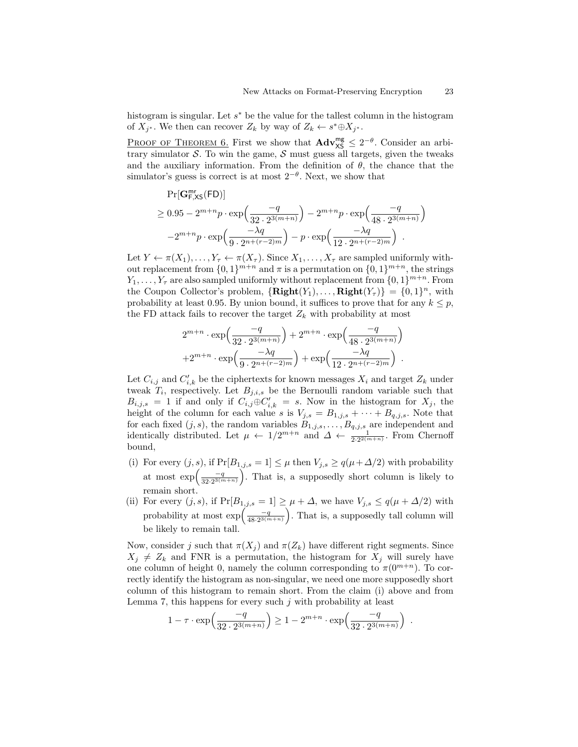histogram is singular. Let  $s^*$  be the value for the tallest column in the histogram of  $X_{j^*}$ . We then can recover  $Z_k$  by way of  $Z_k \leftarrow s^* \oplus X_{j^*}$ .

**PROOF OF THEOREM 6.** First we show that  $\mathbf{Adv}_{\mathsf{XS}}^{\mathsf{mg}} \leq 2^{-\theta}$ . Consider an arbitrary simulator  $\mathcal S$ . To win the game,  $\mathcal S$  must guess all targets, given the tweaks and the auxiliary information. From the definition of  $\theta$ , the chance that the simulator's guess is correct is at most  $2^{-\theta}$ . Next, we show that

$$
\Pr[\mathbf{G}^{\text{mr}}_{\text{F,XS}}(\text{FD})]
$$
\n
$$
\geq 0.95 - 2^{m+n}p \cdot \exp\left(\frac{-q}{32 \cdot 2^{3(m+n)}}\right) - 2^{m+n}p \cdot \exp\left(\frac{-q}{48 \cdot 2^{3(m+n)}}\right)
$$
\n
$$
-2^{m+n}p \cdot \exp\left(\frac{-\lambda q}{9 \cdot 2^{n+(r-2)m}}\right) - p \cdot \exp\left(\frac{-\lambda q}{12 \cdot 2^{n+(r-2)m}}\right) .
$$

Let  $Y \leftarrow \pi(X_1), \ldots, Y_{\tau} \leftarrow \pi(X_{\tau}).$  Since  $X_1, \ldots, X_{\tau}$  are sampled uniformly without replacement from  $\{0,1\}^{m+n}$  and  $\pi$  is a permutation on  $\{0,1\}^{m+n}$ , the strings  $Y_1, \ldots, Y_\tau$  are also sampled uniformly without replacement from  $\{0, 1\}^{m+n}$ . From the Coupon Collector's problem,  $\{Right(Y_1), \ldots, Right(Y_\tau)\} = \{0, 1\}^n$ , with probability at least 0.95. By union bound, it suffices to prove that for any  $k \leq p$ , the FD attack fails to recover the target  $Z_k$  with probability at most

$$
2^{m+n} \cdot \exp\left(\frac{-q}{32 \cdot 2^{3(m+n)}}\right) + 2^{m+n} \cdot \exp\left(\frac{-q}{48 \cdot 2^{3(m+n)}}\right) + 2^{m+n} \cdot \exp\left(\frac{-\lambda q}{9 \cdot 2^{n+(r-2)m}}\right) + \exp\left(\frac{-\lambda q}{12 \cdot 2^{n+(r-2)m}}\right).
$$

Let  $C_{i,j}$  and  $C'_{i,k}$  be the ciphertexts for known messages  $X_i$  and target  $Z_k$  under tweak  $T_i$ , respectively. Let  $B_{j,i,s}$  be the Bernoulli random variable such that  $B_{i,j,s} = 1$  if and only if  $C_{i,j} \oplus C'_{i,k} = s$ . Now in the histogram for  $X_j$ , the height of the column for each value s is  $V_{j,s} = B_{1,j,s} + \cdots + B_{q,j,s}$ . Note that for each fixed  $(j, s)$ , the random variables  $B_{1,j,s}, \ldots, B_{q,j,s}$  are independent and identically distributed. Let  $\mu \leftarrow 1/2^{m+n}$  and  $\Delta \leftarrow \frac{1}{2 \cdot 2^{2(m+n)}}$ . From Chernoff bound,

- (i) For every  $(j, s)$ , if  $Pr[B_{1,j,s} = 1] \leq \mu$  then  $V_{j,s} \geq q(\mu + \Delta/2)$  with probability at most  $\exp\left(\frac{-q}{32.23(n)}\right)$  $\frac{-q}{32\cdot2^{3(m+n)}}$ . That is, a supposedly short column is likely to remain short.
- (ii) For every  $(j, s)$ , if  $Pr[B_{1,j,s} = 1] \geq \mu + \Delta$ , we have  $V_{j,s} \leq q(\mu + \Delta/2)$  with probability at most  $\exp\left(\frac{-q}{48.23(n)}\right)$  $\frac{-q}{48\cdot2^{3(m+n)}}$ . That is, a supposedly tall column will be likely to remain tall.

Now, consider j such that  $\pi(X_i)$  and  $\pi(Z_k)$  have different right segments. Since  $X_i \neq Z_k$  and FNR is a permutation, the histogram for  $X_i$  will surely have one column of height 0, namely the column corresponding to  $\pi(0^{m+n})$ . To correctly identify the histogram as non-singular, we need one more supposedly short column of this histogram to remain short. From the claim (i) above and from Lemma 7, this happens for every such  $j$  with probability at least

$$
1 - \tau \cdot \exp\left(\frac{-q}{32 \cdot 2^{3(m+n)}}\right) \ge 1 - 2^{m+n} \cdot \exp\left(\frac{-q}{32 \cdot 2^{3(m+n)}}\right) .
$$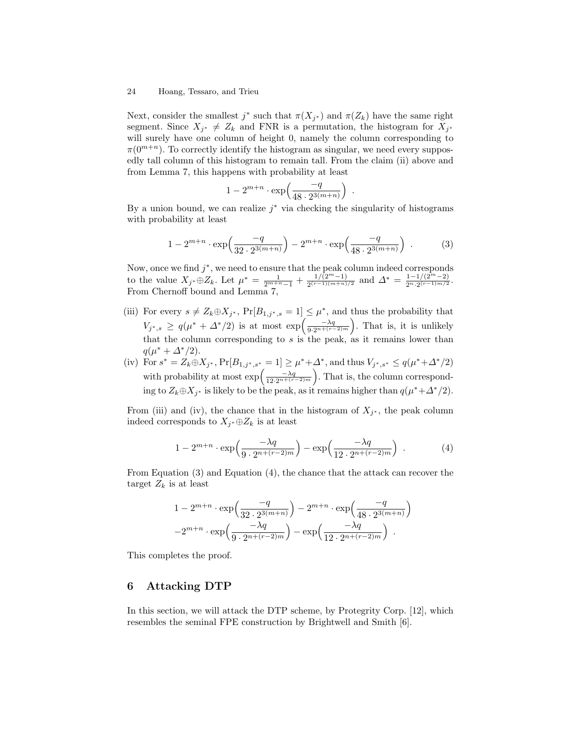Next, consider the smallest  $j^*$  such that  $\pi(X_{j^*})$  and  $\pi(Z_k)$  have the same right segment. Since  $X_{j^*} \neq Z_k$  and FNR is a permutation, the histogram for  $X_{j^*}$ will surely have one column of height 0, namely the column corresponding to  $\pi(0^{m+n})$ . To correctly identify the histogram as singular, we need every supposedly tall column of this histogram to remain tall. From the claim (ii) above and from Lemma 7, this happens with probability at least

$$
1-2^{m+n}\cdot\exp\Bigl(\frac{-q}{48\cdot2^{3(m+n)}}\Bigr)\enspace.
$$

By a union bound, we can realize  $j^*$  via checking the singularity of histograms with probability at least

$$
1 - 2^{m+n} \cdot \exp\left(\frac{-q}{32 \cdot 2^{3(m+n)}}\right) - 2^{m+n} \cdot \exp\left(\frac{-q}{48 \cdot 2^{3(m+n)}}\right) \,. \tag{3}
$$

Now, once we find  $j^*$ , we need to ensure that the peak column indeed corresponds to the value  $X_j^* \oplus Z_k$ . Let  $\mu^* = \frac{1}{2^{m+n}-1} + \frac{1}{2^{(r-1)(m+n)}}$  $\frac{1/\tilde{(2^m-1)}}{2^{(r-1)(m+n)/2}}$  and  $\Delta^* = \frac{1-1/(2^m-2)}{2^n \cdot 2^{(r-1)m/2}}$  $\frac{1-\frac{1}{2}-2)}{2^{n}\cdot 2^{(r-1)m/2}}$ . From Chernoff bound and Lemma 7,

- (iii) For every  $s \neq Z_k \oplus X_{j^*}$ ,  $Pr[B_{1,j^*,s} = 1] \leq \mu^*$ , and thus the probability that  $V_{j^*,s} \ge q(\mu^* + \Delta^*/2)$  is at most  $\exp\left(\frac{-\lambda q}{9 \cdot 2^{n+(r-2)m}}\right)$ . That is, it is unlikely that the column corresponding to s is the peak, as it remains lower than  $q(\mu^* + \Delta^*/2).$
- (iv) For  $s^* = Z_k \oplus X_{j^*}$ ,  $Pr[B_{1,j^*,s^*} = 1] \ge \mu^* + \Delta^*$ , and thus  $V_{j^*,s^*} \le q(\mu^* + \Delta^*/2)$ with probability at most  $\exp\left(\frac{-\lambda q}{12 \cdot 2^{n+(r-2)m}}\right)$ . That is, the column corresponding to  $Z_k \oplus X_{j^*}$  is likely to be the peak, as it remains higher than  $q(\mu^* + \Delta^*/2)$ .

From (iii) and (iv), the chance that in the histogram of  $X_{j^*}$ , the peak column indeed corresponds to  $X_{j^*} \oplus Z_k$  is at least

$$
1 - 2^{m+n} \cdot \exp\left(\frac{-\lambda q}{9 \cdot 2^{n+(r-2)m}}\right) - \exp\left(\frac{-\lambda q}{12 \cdot 2^{n+(r-2)m}}\right) \ . \tag{4}
$$

From Equation (3) and Equation (4), the chance that the attack can recover the target  $Z_k$  is at least

$$
\begin{split}1&-2^{m+n}\cdot \exp\Bigl(\frac{-q}{32\cdot 2^{3(m+n)}}\Bigr)-2^{m+n}\cdot \exp\Bigl(\frac{-q}{48\cdot 2^{3(m+n)}}\Bigr)\\ &-2^{m+n}\cdot \exp\Bigl(\frac{-\lambda q}{9\cdot 2^{n+(r-2)m}}\Bigr)-\exp\Bigl(\frac{-\lambda q}{12\cdot 2^{n+(r-2)m}}\Bigr)\ . \end{split}
$$

This completes the proof.

# 6 Attacking DTP

In this section, we will attack the DTP scheme, by Protegrity Corp. [12], which resembles the seminal FPE construction by Brightwell and Smith [6].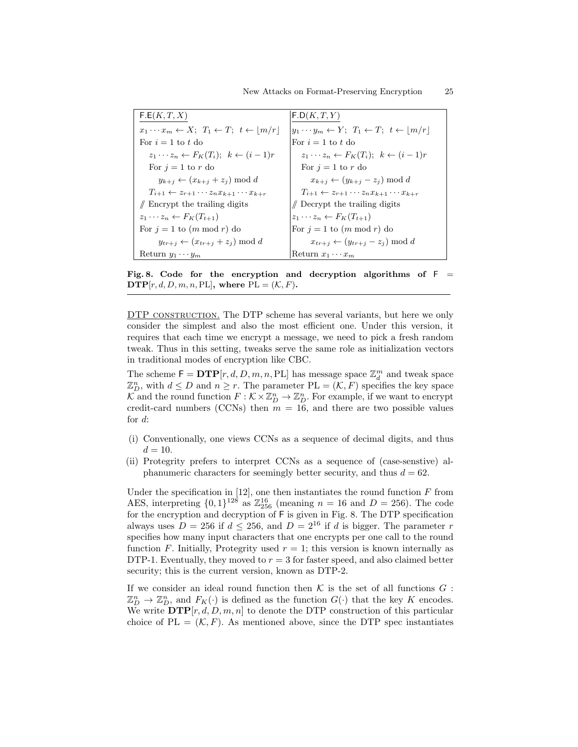| F.E(K,T,X)                                                                | F.D(K,T,Y)                                                                |
|---------------------------------------------------------------------------|---------------------------------------------------------------------------|
| $x_1 \cdots x_m \leftarrow X$ ; $T_1 \leftarrow T$ ; $t \leftarrow  m/r $ | $y_1 \cdots y_m \leftarrow Y$ ; $T_1 \leftarrow T$ ; $t \leftarrow  m/r $ |
| For $i=1$ to t do                                                         | For $i=1$ to t do                                                         |
| $z_1 \cdots z_n \leftarrow F_K(T_i); \quad k \leftarrow (i-1)r$           | $z_1 \cdots z_n \leftarrow F_K(T_i); \quad k \leftarrow (i-1)r$           |
| For $i=1$ to r do                                                         | For $i=1$ to r do                                                         |
| $y_{k+i} \leftarrow (x_{k+i} + z_i) \bmod d$                              | $x_{k+i} \leftarrow (y_{k+i} - z_i) \bmod d$                              |
| $T_{i+1} \leftarrow z_{r+1} \cdots z_n x_{k+1} \cdots x_{k+r}$            | $T_{i+1} \leftarrow z_{r+1} \cdots z_n x_{k+1} \cdots x_{k+r}$            |
| $\mathcal{N}$ Encrypt the trailing digits                                 | $\mathbb Z$ Decrypt the trailing digits                                   |
| $z_1 \cdots z_n \leftarrow F_K(T_{t+1})$                                  | $z_1 \cdots z_n \leftarrow F_K(T_{t+1})$                                  |
| For $i = 1$ to $(m \mod r)$ do                                            | For $j = 1$ to $(m \mod r)$ do                                            |
| $y_{tr+i} \leftarrow (x_{tr+i} + z_i) \bmod d$                            | $x_{tr+i} \leftarrow (y_{tr+i} - z_i) \bmod d$                            |
| Return $y_1 \cdots y_m$                                                   | Return $x_1 \cdots x_m$                                                   |

Fig. 8. Code for the encryption and decryption algorithms of  $F =$  $\mathbf{DTP}[r, d, D, m, n, PL],$  where  $PL = (\mathcal{K}, F).$ 

DTP CONSTRUCTION. The DTP scheme has several variants, but here we only consider the simplest and also the most efficient one. Under this version, it requires that each time we encrypt a message, we need to pick a fresh random tweak. Thus in this setting, tweaks serve the same role as initialization vectors in traditional modes of encryption like CBC.

The scheme  $\mathsf{F} = \mathbf{DTP}[r, d, D, m, n, PL]$  has message space  $\mathbb{Z}_d^m$  and tweak space  $\mathbb{Z}_D^n$ , with  $d \leq D$  and  $n \geq r$ . The parameter  $PL = (K, F)$  specifies the key space  $\mathcal{K}$  and the round function  $F: \mathcal{K} \times \mathbb{Z}_{D}^{n} \to \mathbb{Z}_{D}^{n}$ . For example, if we want to encrypt credit-card numbers (CCNs) then  $m = 16$ , and there are two possible values for d:

- (i) Conventionally, one views CCNs as a sequence of decimal digits, and thus  $d = 10$ .
- (ii) Protegrity prefers to interpret CCNs as a sequence of (case-senstive) alphanumeric characters for seemingly better security, and thus  $d = 62$ .

Under the specification in  $[12]$ , one then instantiates the round function  $F$  from AES, interpreting  $\{0,1\}^{128}$  as  $\mathbb{Z}_{256}^{16}$  (meaning  $n = 16$  and  $D = 256$ ). The code for the encryption and decryption of F is given in Fig. 8. The DTP specification always uses  $D = 256$  if  $d \le 256$ , and  $D = 2^{16}$  if d is bigger. The parameter r specifies how many input characters that one encrypts per one call to the round function F. Initially, Protegrity used  $r = 1$ ; this version is known internally as DTP-1. Eventually, they moved to  $r = 3$  for faster speed, and also claimed better security; this is the current version, known as DTP-2.

If we consider an ideal round function then  $K$  is the set of all functions  $G$ :  $\mathbb{Z}_D^n \to \mathbb{Z}_D^n$ , and  $F_K(\cdot)$  is defined as the function  $G(\cdot)$  that the key K encodes. We write  $\text{DTP}[r, d, D, m, n]$  to denote the DTP construction of this particular choice of PL =  $(K, F)$ . As mentioned above, since the DTP spec instantiates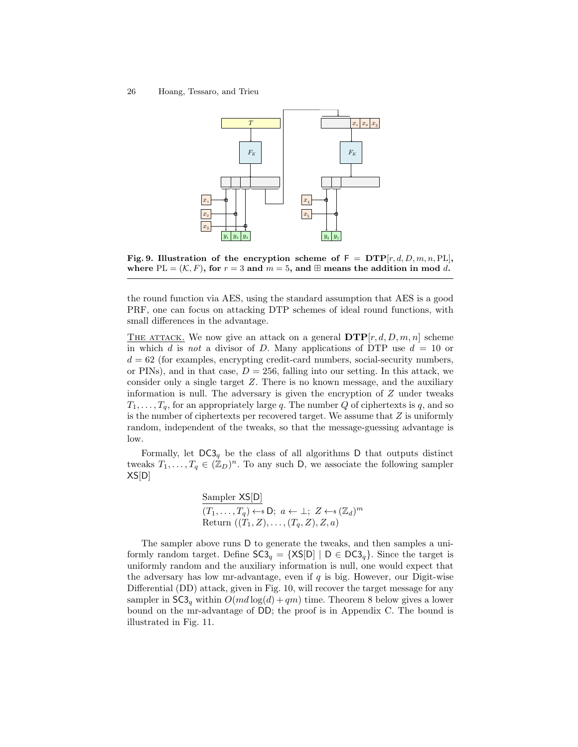

Fig. 9. Illustration of the encryption scheme of  $F = DTP[r, d, D, m, n, PL]$ , where PL =  $(K, F)$ , for  $r = 3$  and  $m = 5$ , and  $\boxplus$  means the addition in mod d.

the round function via AES, using the standard assumption that AES is a good PRF, one can focus on attacking DTP schemes of ideal round functions, with small differences in the advantage.

THE ATTACK. We now give an attack on a general  $\text{DTP}[r, d, D, m, n]$  scheme in which d is not a divisor of D. Many applications of DTP use  $d = 10$  or  $d = 62$  (for examples, encrypting credit-card numbers, social-security numbers, or PINs), and in that case,  $D = 256$ , falling into our setting. In this attack, we consider only a single target Z. There is no known message, and the auxiliary information is null. The adversary is given the encryption of  $Z$  under tweaks  $T_1, \ldots, T_q$ , for an appropriately large q. The number Q of ciphertexts is q, and so is the number of ciphertexts per recovered target. We assume that  $Z$  is uniformly random, independent of the tweaks, so that the message-guessing advantage is low.

Formally, let  $DC3_q$  be the class of all algorithms D that outputs distinct tweaks  $T_1, \ldots, T_q \in (\mathbb{Z}_D)^n$ . To any such D, we associate the following sampler XS[D]

$$
\frac{\text{Sampleer XS[D]}}{(T_1, \dots, T_q) \leftarrow \text{s D}; \ a \leftarrow \bot; \ Z \leftarrow \text{s } (\mathbb{Z}_d)^m
$$
  
Return  $((T_1, Z), \dots, (T_q, Z), Z, a)$ 

The sampler above runs D to generate the tweaks, and then samples a uniformly random target. Define  $SC3_q = \{XS[D] \mid D \in DC3_q\}$ . Since the target is uniformly random and the auxiliary information is null, one would expect that the adversary has low mr-advantage, even if  $q$  is big. However, our Digit-wise Differential (DD) attack, given in Fig. 10, will recover the target message for any sampler in  $\mathsf{SC3}_q$  within  $O(md \log(d) + qm)$  time. Theorem 8 below gives a lower bound on the mr-advantage of DD; the proof is in Appendix C. The bound is illustrated in Fig. 11.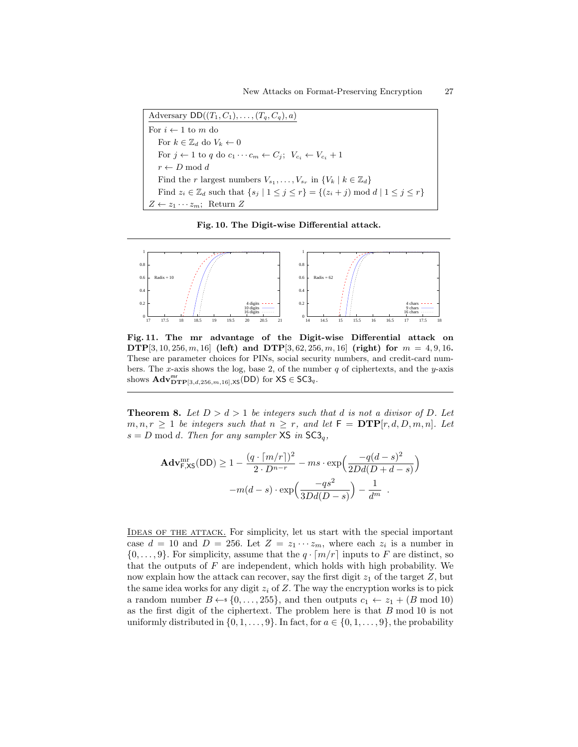Adversary  $DD((T_1, C_1), \ldots, (T_q, C_q), a)$ For  $i \leftarrow 1$  to  $m$  do For  $k \in \mathbb{Z}_d$  do  $V_k \leftarrow 0$ For  $j \leftarrow 1$  to q do  $c_1 \cdots c_m \leftarrow C_j$ ;  $V_{c_i} \leftarrow V_{c_i} + 1$  $r \leftarrow D \bmod d$ Find the r largest numbers  $V_{s_1}, \ldots, V_{s_r}$  in  $\{V_k \mid k \in \mathbb{Z}_d\}$ Find  $z_i \in \mathbb{Z}_d$  such that  $\{s_j \mid 1 \leq j \leq r\} = \{(z_i + j) \mod d \mid 1 \leq j \leq r\}$  $Z \leftarrow z_1 \cdots z_m$ ; Return Z

Fig. 10. The Digit-wise Differential attack.



Fig. 11. The mr advantage of the Digit-wise Differential attack on DTP[3, 10, 256, m, 16] (left) and DTP[3, 62, 256, m, 16] (right) for  $m = 4, 9, 16$ . These are parameter choices for PINs, social security numbers, and credit-card numbers. The x-axis shows the log, base 2, of the number  $q$  of ciphertexts, and the y-axis shows  $\mathbf{Adv}_{\mathbf{DTP}[3,d,256,m,16],\mathsf{XS}}^{\mathsf{mr}}(\mathsf{DD})$  for  $\mathsf{XS}\in\mathsf{SC3}_q$ .

**Theorem 8.** Let  $D > d > 1$  be integers such that d is not a divisor of D. Let  $m, n, r \geq 1$  be integers such that  $n \geq r$ , and let  $\mathsf{F} = \mathbf{DTP}[r, d, D, m, n]$ . Let  $s = D \mod d$ . Then for any sampler XS in  $\mathsf{SC3}_q$ ,

$$
\mathbf{Adv}_{F,XS}^{mr}(DD) \ge 1 - \frac{(q \cdot \lceil m/r \rceil)^2}{2 \cdot D^{n-r}} - ms \cdot \exp\left(\frac{-q(d-s)^2}{2Dd(D+d-s)}\right) - m(d-s) \cdot \exp\left(\frac{-qs^2}{3Dd(D-s)}\right) - \frac{1}{d^m} .
$$

IDEAS OF THE ATTACK. For simplicity, let us start with the special important case  $d = 10$  and  $D = 256$ . Let  $Z = z_1 \cdots z_m$ , where each  $z_i$  is a number in  $\{0,\ldots,9\}$ . For simplicity, assume that the  $q \cdot [m/r]$  inputs to F are distinct, so that the outputs of  $F$  are independent, which holds with high probability. We now explain how the attack can recover, say the first digit  $z_1$  of the target Z, but the same idea works for any digit  $z_i$  of Z. The way the encryption works is to pick a random number  $B \leftarrow s \{0, \ldots, 255\}$ , and then outputs  $c_1 \leftarrow z_1 + (B \mod 10)$ as the first digit of the ciphertext. The problem here is that B mod 10 is not uniformly distributed in  $\{0, 1, \ldots, 9\}$ . In fact, for  $a \in \{0, 1, \ldots, 9\}$ , the probability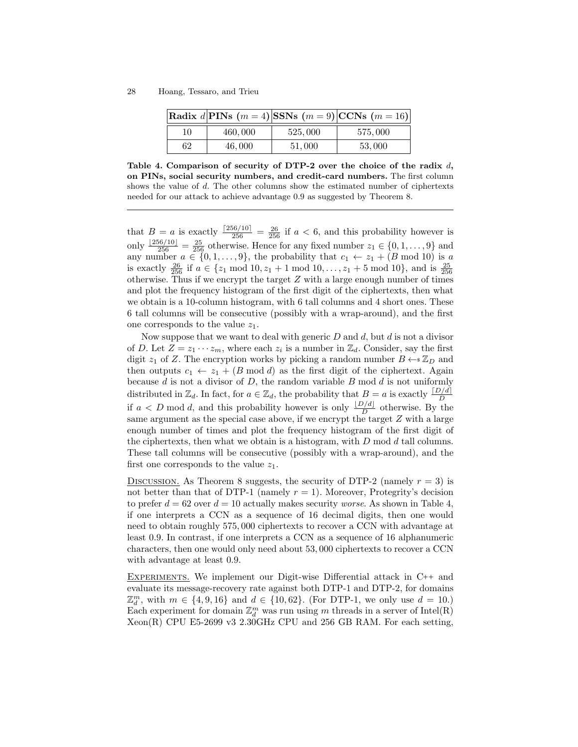|    |         |         | Radix d PINs $(m = 4)$  SSNs $(m = 9)$  CCNs $(m = 16)$ |
|----|---------|---------|---------------------------------------------------------|
| 10 | 460,000 | 525,000 | 575,000                                                 |
| 62 | 46,000  | 51,000  | 53,000                                                  |

Table 4. Comparison of security of DTP-2 over the choice of the radix  $d$ , on PINs, social security numbers, and credit-card numbers. The first column shows the value of d. The other columns show the estimated number of ciphertexts needed for our attack to achieve advantage 0.9 as suggested by Theorem 8.

that  $B = a$  is exactly  $\frac{[256/10]}{256} = \frac{26}{256}$  if  $a < 6$ , and this probability however is only  $\frac{|256/10|}{256} = \frac{25}{256}$  otherwise. Hence for any fixed number  $z_1 \in \{0, 1, \ldots, 9\}$  and any number  $a \in \{0, 1, \ldots, 9\}$ , the probability that  $c_1 \leftarrow z_1 + (B \mod 10)$  is a is exactly  $\frac{26}{256}$  if  $a \in \{z_1 \mod 10, z_1 + 1 \mod 10, \ldots, z_1 + 5 \mod 10\}$ , and is  $\frac{25}{256}$ otherwise. Thus if we encrypt the target  $Z$  with a large enough number of times and plot the frequency histogram of the first digit of the ciphertexts, then what we obtain is a 10-column histogram, with 6 tall columns and 4 short ones. These 6 tall columns will be consecutive (possibly with a wrap-around), and the first one corresponds to the value  $z_1$ .

Now suppose that we want to deal with generic  $D$  and  $d$ , but  $d$  is not a divisor of D. Let  $Z = z_1 \cdots z_m$ , where each  $z_i$  is a number in  $\mathbb{Z}_d$ . Consider, say the first digit  $z_1$  of Z. The encryption works by picking a random number  $B \leftarrow \mathbb{Z}_D$  and then outputs  $c_1 \leftarrow z_1 + (B \mod d)$  as the first digit of the ciphertext. Again because  $d$  is not a divisor of  $D$ , the random variable  $B \mod d$  is not uniformly distributed in  $\mathbb{Z}_d$ . In fact, for  $a \in \mathbb{Z}_d$ , the probability that  $B = a$  is exactly  $\frac{[D/d]}{D}$ if  $a < D \mod d$ , and this probability however is only  $\frac{|D/d|}{D}$  otherwise. By the same argument as the special case above, if we encrypt the target Z with a large enough number of times and plot the frequency histogram of the first digit of the ciphertexts, then what we obtain is a histogram, with  $D \mod d$  tall columns. These tall columns will be consecutive (possibly with a wrap-around), and the first one corresponds to the value  $z_1$ .

DISCUSSION. As Theorem 8 suggests, the security of DTP-2 (namely  $r = 3$ ) is not better than that of DTP-1 (namely  $r = 1$ ). Moreover, Protegrity's decision to prefer  $d = 62$  over  $d = 10$  actually makes security *worse*. As shown in Table 4, if one interprets a CCN as a sequence of 16 decimal digits, then one would need to obtain roughly 575, 000 ciphertexts to recover a CCN with advantage at least 0.9. In contrast, if one interprets a CCN as a sequence of 16 alphanumeric characters, then one would only need about 53, 000 ciphertexts to recover a CCN with advantage at least 0.9.

EXPERIMENTS. We implement our Digit-wise Differential attack in  $C_{++}$  and evaluate its message-recovery rate against both DTP-1 and DTP-2, for domains  $\mathbb{Z}_d^m$ , with  $m \in \{4, 9, 16\}$  and  $d \in \{10, 62\}$ . (For DTP-1, we only use  $d = 10$ .) Each experiment for domain  $\mathbb{Z}_d^m$  was run using m threads in a server of Intel(R) Xeon(R) CPU E5-2699 v3 2.30GHz CPU and 256 GB RAM. For each setting,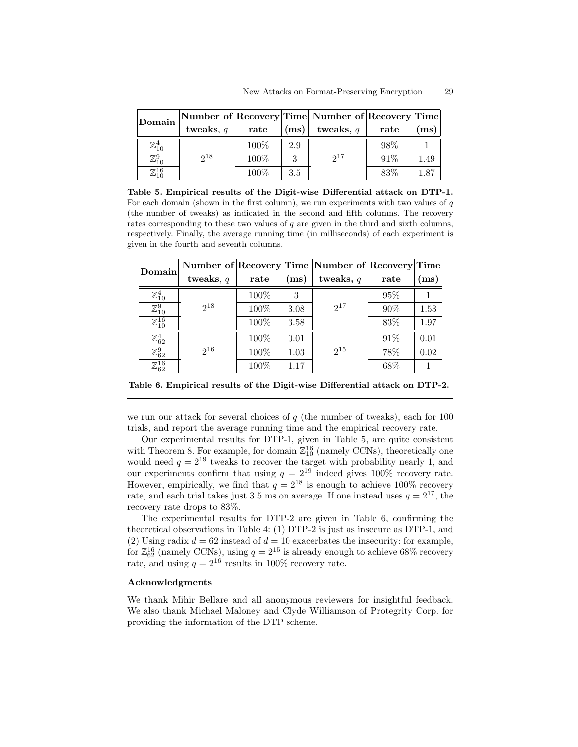| Domain                 | Number of Recovery   Time   Number of Recovery   Time |                      |                  |          |               |      |
|------------------------|-------------------------------------------------------|----------------------|------------------|----------|---------------|------|
| tweaks, $q$            | rate                                                  | $\rm (ms) \parallel$ | tweaks, $q \mid$ | rate     | $\mathbf{ms}$ |      |
| $\mathbb{Z}_{10}^4$    |                                                       | 100%                 | 2.9              |          | 98\%          |      |
| $\mathbb{Z}_{10}^{9}$  | $2^{18}$                                              | 100%                 | 2                | $2^{17}$ | 91%           | 1.49 |
| $\mathbb{Z}_{10}^{16}$ |                                                       | 100\%                | 3.5              |          | 83\%          | 1.87 |

Table 5. Empirical results of the Digit-wise Differential attack on DTP-1. For each domain (shown in the first column), we run experiments with two values of  $q$ (the number of tweaks) as indicated in the second and fifth columns. The recovery rates corresponding to these two values of  $q$  are given in the third and sixth columns, respectively. Finally, the average running time (in milliseconds) of each experiment is given in the fourth and seventh columns.

| Domain                 |             |      |      | Number of Recovery   Time   Number of Recovery   Time |        |      |
|------------------------|-------------|------|------|-------------------------------------------------------|--------|------|
|                        | tweaks, $q$ | rate | (ms) | tweaks, $q$                                           | rate   | (ms) |
| $\mathbb{Z}_{10}^4$    |             | 100% | 3    |                                                       | $95\%$ |      |
| $\mathbb{Z}_{10}^9$    | $2^{18}$    | 100% | 3.08 | $2^{17}$                                              | $90\%$ | 1.53 |
| $\mathbb{Z}_{10}^{16}$ |             | 100% | 3.58 |                                                       | 83%    | 1.97 |
| $\mathbb{Z}_{62}^4$    |             | 100% | 0.01 |                                                       | 91%    | 0.01 |
| $\mathbb{Z}_{62}^9$    | $2^{16}$    | 100% | 1.03 | $2^{15}$                                              | 78%    | 0.02 |
| $\mathbb{Z}_{62}^{16}$ |             | 100% | 1.17 |                                                       | 68%    |      |

Table 6. Empirical results of the Digit-wise Differential attack on DTP-2.

we run our attack for several choices of  $q$  (the number of tweaks), each for 100 trials, and report the average running time and the empirical recovery rate.

Our experimental results for DTP-1, given in Table 5, are quite consistent with Theorem 8. For example, for domain  $\mathbb{Z}_{10}^{16}$  (namely CCNs), theoretically one would need  $q = 2^{19}$  tweaks to recover the target with probability nearly 1, and our experiments confirm that using  $q = 2^{19}$  indeed gives 100% recovery rate. However, empirically, we find that  $q = 2^{18}$  is enough to achieve 100% recovery rate, and each trial takes just 3.5 ms on average. If one instead uses  $q = 2^{17}$ , the recovery rate drops to 83%.

The experimental results for DTP-2 are given in Table 6, confirming the theoretical observations in Table 4: (1) DTP-2 is just as insecure as DTP-1, and (2) Using radix  $d = 62$  instead of  $d = 10$  exacerbates the insecurity: for example, for  $\mathbb{Z}_{62}^{16}$  (namely CCNs), using  $q = 2^{15}$  is already enough to achieve 68% recovery rate, and using  $q = 2^{16}$  results in 100% recovery rate.

#### Acknowledgments

We thank Mihir Bellare and all anonymous reviewers for insightful feedback. We also thank Michael Maloney and Clyde Williamson of Protegrity Corp. for providing the information of the DTP scheme.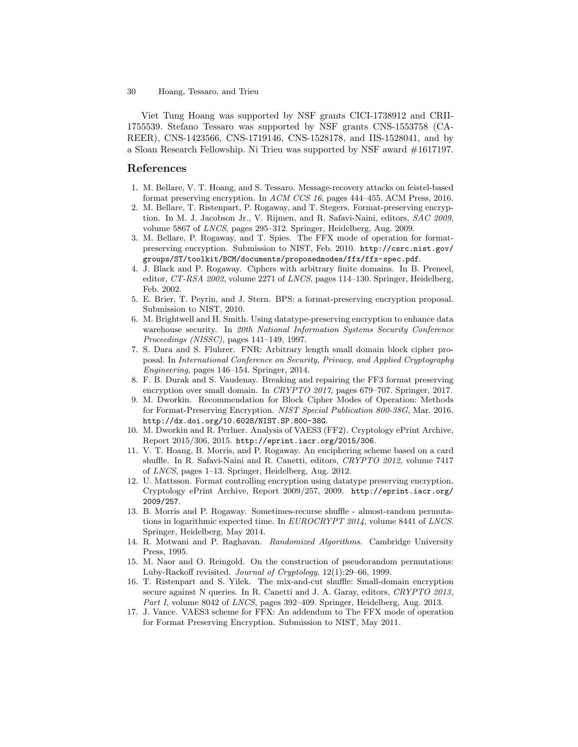Viet Tung Hoang was supported by NSF grants CICI-1738912 and CRII-1755539. Stefano Tessaro was supported by NSF grants CNS-1553758 (CA-REER), CNS-1423566, CNS-1719146, CNS-1528178, and IIS-1528041, and by a Sloan Research Fellowship. Ni Trieu was supported by NSF award #1617197.

### References

- 1. M. Bellare, V. T. Hoang, and S. Tessaro. Message-recovery attacks on feistel-based format preserving encryption. In ACM CCS 16, pages 444–455. ACM Press, 2016.
- 2. M. Bellare, T. Ristenpart, P. Rogaway, and T. Stegers. Format-preserving encryption. In M. J. Jacobson Jr., V. Rijmen, and R. Safavi-Naini, editors, SAC 2009, volume 5867 of LNCS, pages 295–312. Springer, Heidelberg, Aug. 2009.
- 3. M. Bellare, P. Rogaway, and T. Spies. The FFX mode of operation for formatpreserving encryption. Submission to NIST, Feb. 2010. http://csrc.nist.gov/ groups/ST/toolkit/BCM/documents/proposedmodes/ffx/ffx-spec.pdf.
- 4. J. Black and P. Rogaway. Ciphers with arbitrary finite domains. In B. Preneel, editor, CT-RSA 2002, volume 2271 of LNCS, pages 114–130. Springer, Heidelberg, Feb. 2002.
- 5. E. Brier, T. Peyrin, and J. Stern. BPS: a format-preserving encryption proposal. Submission to NIST, 2010.
- 6. M. Brightwell and H. Smith. Using datatype-preserving encryption to enhance data warehouse security. In 20th National Information Systems Security Conference Proceedings (NISSC), pages 141–149, 1997.
- 7. S. Dara and S. Fluhrer. FNR: Arbitrary length small domain block cipher proposal. In International Conference on Security, Privacy, and Applied Cryptography Engineering, pages 146–154. Springer, 2014.
- 8. F. B. Durak and S. Vaudenay. Breaking and repairing the FF3 format preserving encryption over small domain. In CRYPTO 2017, pages 679–707. Springer, 2017.
- 9. M. Dworkin. Recommendation for Block Cipher Modes of Operation: Methods for Format-Preserving Encryption. NIST Special Publication 800-38G, Mar. 2016. http://dx.doi.org/10.6028/NIST.SP.800-38G.
- 10. M. Dworkin and R. Perlner. Analysis of VAES3 (FF2). Cryptology ePrint Archive, Report 2015/306, 2015. http://eprint.iacr.org/2015/306.
- 11. V. T. Hoang, B. Morris, and P. Rogaway. An enciphering scheme based on a card shuffle. In R. Safavi-Naini and R. Canetti, editors, CRYPTO 2012, volume 7417 of LNCS, pages 1–13. Springer, Heidelberg, Aug. 2012.
- 12. U. Mattsson. Format controlling encryption using datatype preserving encryption. Cryptology ePrint Archive, Report 2009/257, 2009. http://eprint.iacr.org/ 2009/257.
- 13. B. Morris and P. Rogaway. Sometimes-recurse shuffle almost-random permutations in logarithmic expected time. In EUROCRYPT 2014, volume 8441 of LNCS. Springer, Heidelberg, May 2014.
- 14. R. Motwani and P. Raghavan. Randomized Algorithms. Cambridge University Press, 1995.
- 15. M. Naor and O. Reingold. On the construction of pseudorandom permutations: Luby-Rackoff revisited. Journal of Cryptology, 12(1):29–66, 1999.
- 16. T. Ristenpart and S. Yilek. The mix-and-cut shuffle: Small-domain encryption secure against N queries. In R. Canetti and J. A. Garay, editors, CRYPTO 2013, Part I, volume 8042 of LNCS, pages 392-409. Springer, Heidelberg, Aug. 2013.
- 17. J. Vance. VAES3 scheme for FFX: An addendum to The FFX mode of operation for Format Preserving Encryption. Submission to NIST, May 2011.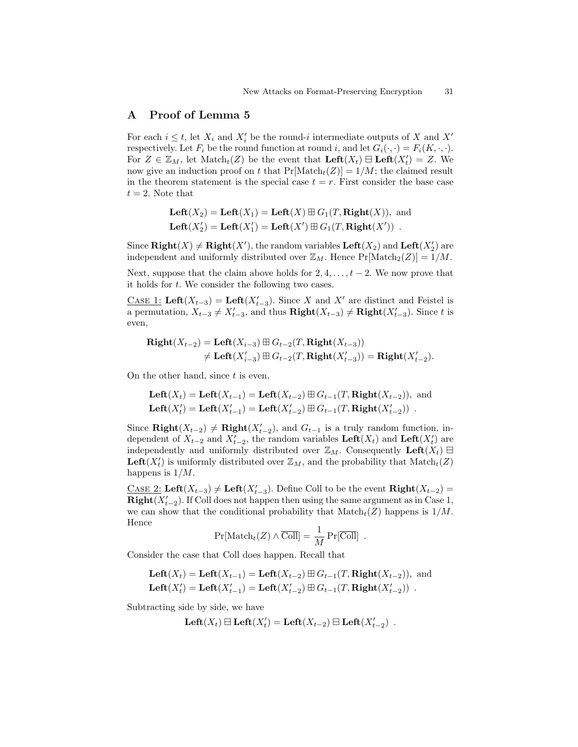# A Proof of Lemma 5

For each  $i \leq t$ , let  $X_i$  and  $X'_i$  be the round-i intermediate outputs of X and X' respectively. Let  $F_i$  be the round function at round i, and let  $G_i(\cdot, \cdot) = F_i(K, \cdot, \cdot)$ . For  $Z \in \mathbb{Z}_M$ , let  $\text{Match}_t(Z)$  be the event that  $\text{Left}(X_t) \boxminus \text{Left}(X'_t) = Z$ . We now give an induction proof on t that  $Pr[\text{Match}_{t}(Z)] = 1/M$ ; the claimed result in the theorem statement is the special case  $t = r$ . First consider the base case  $t = 2$ . Note that

Left(X<sub>2</sub>) = Left(X<sub>1</sub>) = Left(X) 
$$
\boxplus
$$
 G<sub>1</sub>(T, Right(X)), and  
Left(X'<sub>2</sub>) = Left(X') = Left(X')  $\boxplus$  G<sub>1</sub>(T, Right(X')) .

Since  $\mathbf{Right}(X) \neq \mathbf{Right}(X')$ , the random variables  $\mathbf{Left}(X_2)$  and  $\mathbf{Left}(X'_2)$  are independent and uniformly distributed over  $\mathbb{Z}_M$ . Hence  $Pr[\text{Match}_2(Z)] = 1/M$ .

Next, suppose that the claim above holds for  $2, 4, \ldots, t-2$ . We now prove that it holds for t. We consider the following two cases.

<u>CASE 1</u>: Left( $X_{t-3}$ ) = Left( $X'_{t-3}$ ). Since X and X' are distinct and Feistel is a permutation,  $X_{t-3} \neq X'_{t-3}$ , and thus  $\mathbf{Right}(X_{t-3}) \neq \mathbf{Right}(X'_{t-3})$ . Since t is even,

$$
\begin{aligned} \mathbf{Right}(X_{t-2}) &= \mathbf{Left}(X_{i-3}) \boxplus G_{t-2}(T, \mathbf{Right}(X_{t-3})) \\ & \neq \mathbf{Left}(X'_{i-3}) \boxplus G_{t-2}(T, \mathbf{Right}(X'_{t-3})) = \mathbf{Right}(X'_{t-2}). \end{aligned}
$$

On the other hand, since  $t$  is even,

$$
Left(X_t) = Left(X_{t-1}) = Left(X_{t-2}) \boxplus G_{t-1}(T, Right(X_{t-2})), and
$$
  

$$
Left(X'_t) = Left(X'_{t-1}) = Left(X'_{t-2}) \boxplus G_{t-1}(T, Right(X'_{t-2}))
$$
.

Since **Right** $(X_{t-2}) \neq$  **Right** $(X_{t-2}')$ , and  $G_{t-1}$  is a truly random function, independent of  $X_{t-2}$  and  $X'_{t-2}$ , the random variables  $\text{Left}(X_t)$  and  $\text{Left}(X'_t)$  are independently and uniformly distributed over  $\mathbb{Z}_M$ . Consequently  $\mathbf{Left}(X_t) \boxminus$ **Left**( $X'_t$ ) is uniformly distributed over  $\mathbb{Z}_M$ , and the probability that  $\text{Match}_t(Z)$ happens is 1/M.

<u>CASE 2:</u> Left( $X_{t-3}$ )  $\neq$  Left( $X'_{t-3}$ ). Define Coll to be the event **Right**( $X_{t-2}$ ) = **Right**( $X'_{t-2}$ ). If Coll does not happen then using the same argument as in Case 1, we can show that the conditional probability that  $\text{Match}_{t}(Z)$  happens is  $1/M$ . Hence

$$
\Pr[\text{Match}_{t}(Z) \wedge \overline{\text{Coll}}] = \frac{1}{M} \Pr[\overline{\text{Coll}}] .
$$

Consider the case that Coll does happen. Recall that

Left(X<sub>t</sub>) = Left(X<sub>t-1</sub>) = Left(X<sub>t-2</sub>) 
$$
\boxplus
$$
 G<sub>t-1</sub>(T, Right(X<sub>t-2</sub>)), and  
Left(X'<sub>t</sub>) = Left(X'<sub>t-1</sub>) = Left(X'<sub>t-2</sub>)  $\boxplus$  G<sub>t-1</sub>(T, Right(X'<sub>t-2</sub>)) .

Subtracting side by side, we have

 $\mathbf{Left}(X_t) \boxminus \mathbf{Left}(X'_t) = \mathbf{Left}(X_{t-2}) \boxminus \mathbf{Left}(X'_{t-2})$ .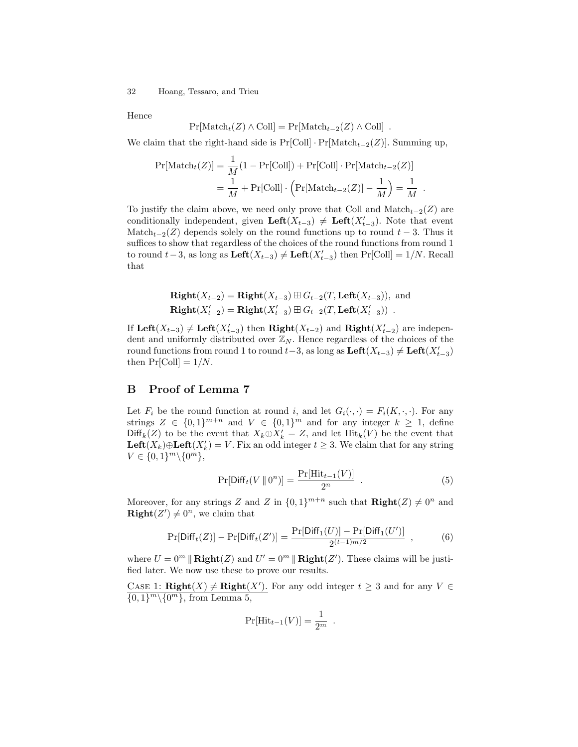Hence

$$
Pr[Match_t(Z) \wedge Coll] = Pr[Match_{t-2}(Z) \wedge Coll] .
$$

We claim that the right-hand side is  $Pr[Coll] \cdot Pr[Match_{t-2}(Z)].$  Summing up,

$$
Pr[\text{Match}_{t}(Z)] = \frac{1}{M}(1 - Pr[\text{Coll}]) + Pr[\text{Coll}] \cdot Pr[\text{Match}_{t-2}(Z)]
$$

$$
= \frac{1}{M} + Pr[\text{Coll}] \cdot \left(Pr[\text{Match}_{t-2}(Z)] - \frac{1}{M}\right) = \frac{1}{M}
$$

.

To justify the claim above, we need only prove that Coll and  $\text{Match}_{t-2}(Z)$  are conditionally independent, given Left $(X_{t-3}) \neq \text{Left}(X_{t-3}')$ . Note that event Match<sub>t−2</sub>(Z) depends solely on the round functions up to round  $t - 3$ . Thus it suffices to show that regardless of the choices of the round functions from round 1 to round  $t-3$ , as long as  $\mathbf{Left}(X_{t-3}) \neq \mathbf{Left}(X_{t-3}')$  then  $\Pr[\text{Coll}] = 1/N$ . Recall that

**Right**
$$
(X_{t-2})
$$
 = **Right** $(X_{t-3}) \boxplus G_{t-2}(T, \text{Left}(X_{t-3})),$  and  
**Right** $(X'_{t-2})$  = **Right** $(X'_{t-3}) \boxplus G_{t-2}(T, \text{Left}(X'_{t-3}))$ .

If Left( $X_{t-3}$ ) ≠ Left( $X'_{t-3}$ ) then  $\mathbf{Right}(X_{t-2})$  and  $\mathbf{Right}(X'_{t-2})$  are independent and uniformly distributed over  $\mathbb{Z}_N$ . Hence regardless of the choices of the round functions from round 1 to round  $t-3$ , as long as  $\mathbf{Left}(X_{t-3}) \neq \mathbf{Left}(X_{t-3}')$ then  $Pr[Coll] = 1/N$ .

# B Proof of Lemma 7

Let  $F_i$  be the round function at round i, and let  $G_i(\cdot, \cdot) = F_i(K, \cdot, \cdot)$ . For any strings  $Z \in \{0,1\}^{m+n}$  and  $V \in \{0,1\}^m$  and for any integer  $k \geq 1$ , define  $\text{Diff}_k(Z)$  to be the event that  $X_k \oplus X'_k = Z$ , and let  $\text{Hit}_k(V)$  be the event that Left( $X_k$ )⊕Left( $X'_k$ ) = V. Fix an odd integer  $t \geq 3$ . We claim that for any string  $V \in \{0,1\}^m \backslash \{0^m\},\$ 

$$
\Pr[\text{Diff}_{t}(V \, \| \, 0^{n})] = \frac{\Pr[\text{Hit}_{t-1}(V)]}{2^{n}} \tag{5}
$$

Moreover, for any strings Z and Z in  $\{0,1\}^{m+n}$  such that  $\mathbf{Right}(Z) \neq 0^n$  and  $\mathbf{Right}(Z') \neq 0^n$ , we claim that

$$
\Pr[\text{Diff}_t(Z)] - \Pr[\text{Diff}_t(Z')] = \frac{\Pr[\text{Diff}_1(U)] - \Pr[\text{Diff}_1(U')] }{2^{(t-1)m/2}} , \qquad (6)
$$

where  $U = 0^m \|\text{Right}(Z) \text{ and } U' = 0^m \|\text{Right}(Z')$ . These claims will be justified later. We now use these to prove our results.

CASE 1: **Right** $(X) \neq$  **Right** $(X')$ . For any odd integer  $t \geq 3$  and for any  $V \in$  $\{0,1\}^m \setminus \{0^m\}$ , from Lemma 5,

$$
\Pr[\text{Hit}_{t-1}(V)] = \frac{1}{2^m} .
$$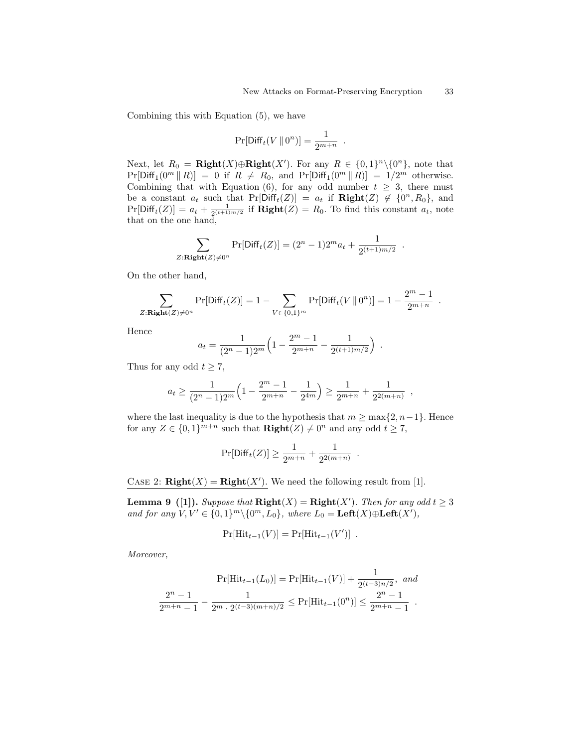.

.

Combining this with Equation (5), we have

$$
\Pr[\text{Diff}_t(V \parallel 0^n)] = \frac{1}{2^{m+n}}.
$$

Next, let  $R_0 = \text{Right}(X) \oplus \text{Right}(X')$ . For any  $R \in \{0,1\}^n \setminus \{0^n\}$ , note that  $Pr[\text{Diff}_1(0^m || R)] = 0$  if  $R \neq R_0$ , and  $Pr[\text{Diff}_1(0^m || R)] = 1/2^m$  otherwise. Combining that with Equation (6), for any odd number  $t \geq 3$ , there must be a constant  $a_t$  such that  $Pr[Diff_t(Z)] = a_t$  if  $Right(Z) \notin \{0^n, R_0\}$ , and  $Pr[\text{Diff}_t(Z)] = a_t + \frac{1}{2^{(t+1)m/2}}$  if  $\text{Right}(Z) = R_0$ . To find this constant  $a_t$ , note that on the one hand,

$$
\sum_{Z:\textbf{Right}(Z)\neq 0^n} \Pr[\textbf{Diff}_t(Z)] = (2^n - 1)2^m a_t + \frac{1}{2^{(t+1)m/2}}
$$

On the other hand,

$$
\sum_{Z:\textbf{Right}(Z)\neq 0^n} \Pr[\textbf{Diff}_t(Z)] = 1 - \sum_{V \in \{0,1\}^m} \Pr[\textbf{Diff}_t(V \, \| \, 0^n)] = 1 - \frac{2^m - 1}{2^{m+n}}
$$

Hence

$$
a_t = \frac{1}{(2^n - 1)2^m} \left( 1 - \frac{2^m - 1}{2^{m+n}} - \frac{1}{2^{(t+1)m/2}} \right) .
$$

Thus for any odd  $t \geq 7$ ,

$$
a_t \ge \frac{1}{(2^n - 1)2^m} \left( 1 - \frac{2^m - 1}{2^{m+n}} - \frac{1}{2^{4m}} \right) \ge \frac{1}{2^{m+n}} + \frac{1}{2^{2(m+n)}},
$$

where the last inequality is due to the hypothesis that  $m \ge \max\{2, n-1\}$ . Hence for any  $Z \in \{0,1\}^{m+n}$  such that  $\mathbf{Right}(Z) \neq 0^n$  and any odd  $t \geq 7$ ,

$$
\Pr[\text{Diff}_t(Z)] \ge \frac{1}{2^{m+n}} + \frac{1}{2^{2(m+n)}}.
$$

CASE 2: **Right** $(X)$  = **Right** $(X')$ . We need the following result from [1].

**Lemma 9** ([1]). Suppose that **Right**(X) = **Right**(X'). Then for any odd  $t \ge 3$ and for any  $V, V' \in \{0, 1\}^m \setminus \{0^m, L_0\}$ , where  $L_0 = \text{Left}(X) \oplus \text{Left}(X')$ ,

$$
Pr[Hit_{t-1}(V)] = Pr[Hit_{t-1}(V')].
$$

Moreover,

$$
\Pr[\text{Hit}_{t-1}(L_0)] = \Pr[\text{Hit}_{t-1}(V)] + \frac{1}{2^{(t-3)n/2}}, \text{ and}
$$
  

$$
\frac{2^n - 1}{2^{m+n} - 1} - \frac{1}{2^m \cdot 2^{(t-3)(m+n)/2}} \le \Pr[\text{Hit}_{t-1}(0^n)] \le \frac{2^n - 1}{2^{m+n} - 1}.
$$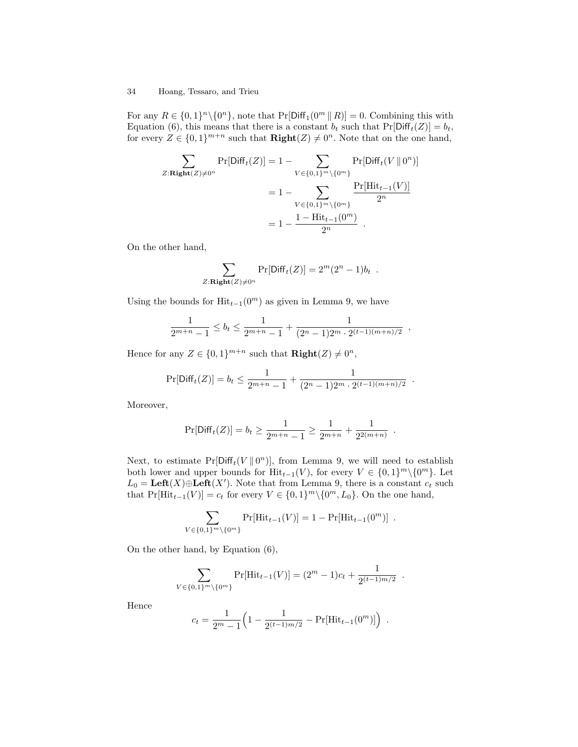For any  $R \in \{0,1\}^n \setminus \{0^n\}$ , note that  $\Pr[\text{Diff}_1(0^m \mid R)] = 0$ . Combining this with Equation (6), this means that there is a constant  $b_t$  such that  $Pr[Diff_t(Z)] = b_t$ , for every  $Z \in \{0,1\}^{m+n}$  such that  $\mathbf{Right}(Z) \neq 0^n$ . Note that on the one hand,

$$
\sum_{Z:\textbf{Right}(Z)\neq 0^n} \Pr[\textbf{Diff}_t(Z)] = 1 - \sum_{V \in \{0,1\}^m \setminus \{0^m\}} \Pr[\textbf{Diff}_t(V \parallel 0^n)]
$$

$$
= 1 - \sum_{V \in \{0,1\}^m \setminus \{0^m\}} \frac{\Pr[\textbf{Hit}_{t-1}(V)]}{2^n}
$$

$$
= 1 - \frac{1 - \textbf{Hit}_{t-1}(0^m)}{2^n}.
$$

On the other hand,

$$
\sum_{Z:\mathbf{Right}(Z)\neq 0^n} \Pr[\mathsf{Diff}_t(Z)] = 2^m(2^n - 1)b_t.
$$

Using the bounds for  $\text{Hit}_{t-1}(0^m)$  as given in Lemma 9, we have

$$
\frac{1}{2^{m+n}-1} \le b_t \le \frac{1}{2^{m+n}-1} + \frac{1}{(2^n-1)2^m \cdot 2^{(t-1)(m+n)/2}},
$$

Hence for any  $Z \in \{0,1\}^{m+n}$  such that  $\mathbf{Right}(Z) \neq 0^n$ ,

$$
Pr[Diff_t(Z)] = b_t \le \frac{1}{2^{m+n} - 1} + \frac{1}{(2^n - 1)2^m \cdot 2^{(t-1)(m+n)/2}}.
$$

Moreover,

$$
\Pr[\text{Diff}_t(Z)] = b_t \ge \frac{1}{2^{m+n} - 1} \ge \frac{1}{2^{m+n}} + \frac{1}{2^{2(m+n)}}
$$

.

Next, to estimate  $Pr[Diff_t(V \parallel 0^n)],$  from Lemma 9, we will need to establish both lower and upper bounds for  $\text{Hit}_{t-1}(V)$ , for every  $V \in \{0,1\}^m \setminus \{0^m\}$ . Let  $L_0 = \text{Left}(X) \oplus \text{Left}(X')$ . Note that from Lemma 9, there is a constant  $c_t$  such that  $Pr[\text{Hit}_{t-1}(V)] = c_t$  for every  $V \in \{0,1\}^m \setminus \{0^m, L_0\}$ . On the one hand,

$$
\sum_{V \in \{0,1\}^m \setminus \{0^m\}} \Pr[\text{Hit}_{t-1}(V)] = 1 - \Pr[\text{Hit}_{t-1}(0^m)] .
$$

On the other hand, by Equation (6),

$$
\sum_{V \in \{0,1\}^m \setminus \{0^m\}} \Pr[\text{Hit}_{t-1}(V)] = (2^m - 1)c_t + \frac{1}{2^{(t-1)m/2}}.
$$

Hence

$$
c_t = \frac{1}{2^m - 1} \Big( 1 - \frac{1}{2^{(t-1)m/2}} - \Pr[\text{Hit}_{t-1}(0^m)] \Big) .
$$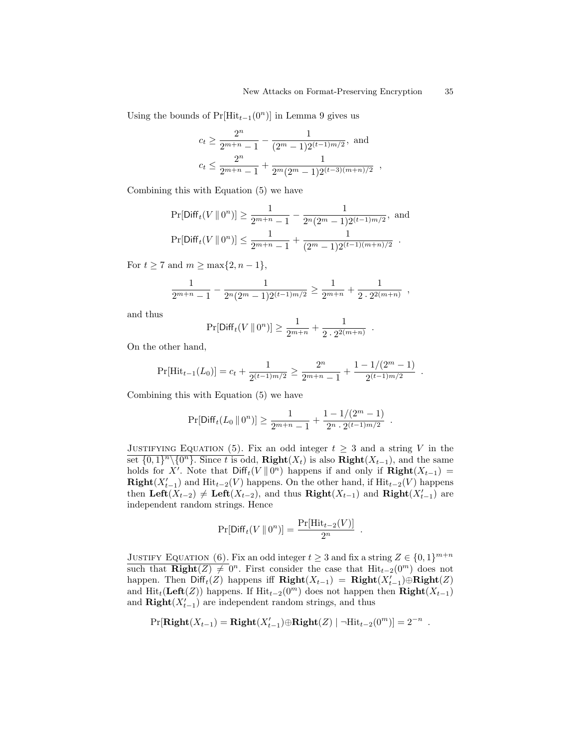,

.

.

.

.

Using the bounds of  $Pr[Hit_{t-1}(0^n)]$  in Lemma 9 gives us

$$
c_t \ge \frac{2^n}{2^{m+n} - 1} - \frac{1}{(2^m - 1)2^{(t-1)m/2}},
$$
 and  

$$
c_t \le \frac{2^n}{2^{m+n} - 1} + \frac{1}{2^m (2^m - 1)2^{(t-3)(m+n)/2}},
$$

Combining this with Equation (5) we have

$$
\Pr[\text{Diff}_t(V \parallel 0^n)] \ge \frac{1}{2^{m+n} - 1} - \frac{1}{2^n (2^m - 1) 2^{(t-1)m/2}}, \text{ and}
$$

$$
\Pr[\text{Diff}_t(V \parallel 0^n)] \le \frac{1}{2^{m+n} - 1} + \frac{1}{(2^m - 1) 2^{(t-1)(m+n)/2}}.
$$

For  $t \ge 7$  and  $m \ge \max\{2, n-1\}$ ,

$$
\frac{1}{2^{m+n}-1} - \frac{1}{2^n(2^m-1)2^{(t-1)m/2}} \ge \frac{1}{2^{m+n}} + \frac{1}{2 \cdot 2^{2(m+n)}}
$$

and thus

$$
\Pr[\text{Diff}_t(V \, \| \, 0^n)] \ge \frac{1}{2^{m+n}} + \frac{1}{2 \cdot 2^{2(m+n)}}.
$$

On the other hand,

$$
Pr[Hit_{t-1}(L_0)] = c_t + \frac{1}{2^{(t-1)m/2}} \ge \frac{2^n}{2^{m+n} - 1} + \frac{1 - 1/(2^m - 1)}{2^{(t-1)m/2}}
$$

Combining this with Equation (5) we have

$$
\Pr[\text{Diff}_t(L_0 \, \| \, 0^n)] \ge \frac{1}{2^{m+n} - 1} + \frac{1 - 1/(2^m - 1)}{2^n \cdot 2^{(t-1)m/2}}
$$

JUSTIFYING EQUATION (5). Fix an odd integer  $t \geq 3$  and a string V in the set  ${0,1}^n{\setminus{0^n}}$ . Since t is odd, **Right**( $X_t$ ) is also **Right**( $X_{t-1}$ ), and the same holds for X'. Note that  $\text{Diff}_t(V \parallel 0^n)$  happens if and only if  $\text{Right}(X_{t-1}) =$ **Right**( $X'_{t-1}$ ) and  $\text{Hit}_{t-2}(V)$  happens. On the other hand, if  $\text{Hit}_{t-2}(V)$  happens then Left( $X_{t-2}$ )  $\neq$  Left( $X_{t-2}$ ), and thus Right( $X_{t-1}$ ) and Right( $X_{t-1}'$ ) are independent random strings. Hence

$$
\Pr[\text{Diff}_t(V \parallel 0^n)] = \frac{\Pr[\text{Hit}_{t-2}(V)]}{2^n}
$$

JUSTIFY EQUATION (6). Fix an odd integer  $t \geq 3$  and fix a string  $Z \in \{0, 1\}^{m+n}$ such that Right $(Z) \neq 0^n$ . First consider the case that Hit<sub>t−2</sub>(0<sup>m</sup>) does not happen. Then  $\text{Diff}_t(Z)$  happens iff  $\text{Right}(X_{t-1}) = \text{Right}(X_{t-1}') \oplus \text{Right}(Z)$ and Hit<sub>t</sub>(Left(Z)) happens. If Hit<sub>t−2</sub>(0<sup>m</sup>) does not happen then **Right**( $X_{t-1}$ ) and  $\text{Right}(X'_{t-1})$  are independent random strings, and thus

$$
\Pr[\mathbf{Right}(X_{t-1}) = \mathbf{Right}(X_{t-1}')\oplus \mathbf{Right}(Z)\mid \neg \mathrm{Hit}_{t-2}(0^m)] = 2^{-n}
$$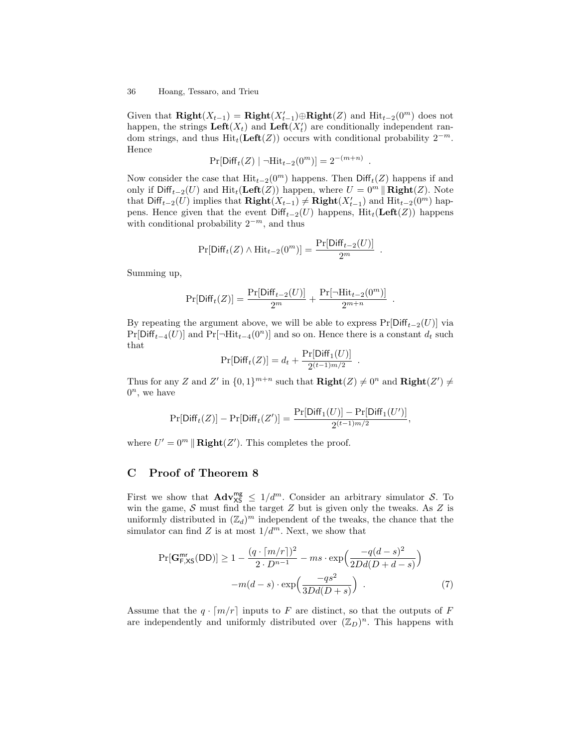Given that  $\mathbf{Right}(X_{t-1}) = \mathbf{Right}(X_{t-1}') \oplus \mathbf{Right}(Z)$  and  $\text{Hit}_{t-2}(0^m)$  does not happen, the strings  $\text{Left}(X_t)$  and  $\text{Left}(X_t')$  are conditionally independent random strings, and thus Hit<sub>t</sub>(**Left**(*Z*)) occurs with conditional probability  $2^{-m}$ . Hence

$$
\Pr[\text{Diff}_t(Z) | \neg \text{Hit}_{t-2}(0^m)] = 2^{-(m+n)}
$$

.

.

.

Now consider the case that  $\text{Hit}_{t-2}(0^m)$  happens. Then  $\text{Diff}_t(Z)$  happens if and only if  $\text{Diff}_{t-2}(U)$  and  $\text{Hit}_t(\text{Left}(Z))$  happen, where  $U = 0^m \mid \text{Right}(Z)$ . Note that Diff<sub>t-2</sub>(U) implies that  $\mathbf{Right}(X_{t-1}) \neq \mathbf{Right}(X_{t-1}')$  and  $\text{Hit}_{t-2}(0^m)$  happens. Hence given that the event  $\text{Diff}_{t-2}(U)$  happens,  $\text{Hit}_t(\text{Left}(Z))$  happens with conditional probability  $2^{-m}$ , and thus

$$
Pr[\text{Diff}_{t}(Z) \wedge \text{Hit}_{t-2}(0^m)] = \frac{Pr[\text{Diff}_{t-2}(U)]}{2^m} .
$$

Summing up,

$$
\Pr[\text{Diff}_t(Z)] = \frac{\Pr[\text{Diff}_{t-2}(U)]}{2^m} + \frac{\Pr[\text{-Hit}_{t-2}(0^m)]}{2^{m+n}}
$$

By repeating the argument above, we will be able to express  $Pr[Diff_{t-2}(U)]$  via Pr[Diff<sub>t-4</sub>(U)] and Pr[¬Hit<sub>t-4</sub>(0<sup>n</sup>)] and so on. Hence there is a constant  $d_t$  such that

$$
Pr[Diff_t(Z)] = d_t + \frac{Pr[Diff_1(U)]}{2^{(t-1)m/2}}
$$

Thus for any Z and Z' in  $\{0,1\}^{m+n}$  such that  $\mathbf{Right}(Z) \neq 0^n$  and  $\mathbf{Right}(Z') \neq 0$  $0^n$ , we have

$$
\Pr[\text{Diff}_t(Z)] - \Pr[\text{Diff}_t(Z')] = \frac{\Pr[\text{Diff}_1(U)] - \Pr[\text{Diff}_1(U')]}{2^{(t-1)m/2}},
$$

where  $U' = 0^m \|\textbf{Right}(Z')\|$ . This completes the proof.

# C Proof of Theorem 8

First we show that  $\mathbf{Adv}_{\mathsf{XS}}^{\mathsf{mg}} \leq 1/d^m$ . Consider an arbitrary simulator S. To win the game,  $S$  must find the target  $Z$  but is given only the tweaks. As  $Z$  is uniformly distributed in  $(\mathbb{Z}_d)^m$  independent of the tweaks, the chance that the simulator can find Z is at most  $1/d^m$ . Next, we show that

$$
\Pr[\mathbf{G}_{\mathsf{F},\mathsf{XS}}^{\mathsf{mr}}(\mathsf{DD})] \ge 1 - \frac{(q \cdot \lceil m/r \rceil)^2}{2 \cdot D^{n-1}} - ms \cdot \exp\left(\frac{-q(d-s)^2}{2Dd(D+d-s)}\right) - m(d-s) \cdot \exp\left(\frac{-qs^2}{3Dd(D+s)}\right) . \tag{7}
$$

Assume that the  $q \cdot [m/r]$  inputs to F are distinct, so that the outputs of F are independently and uniformly distributed over  $(\mathbb{Z}_D)^n$ . This happens with